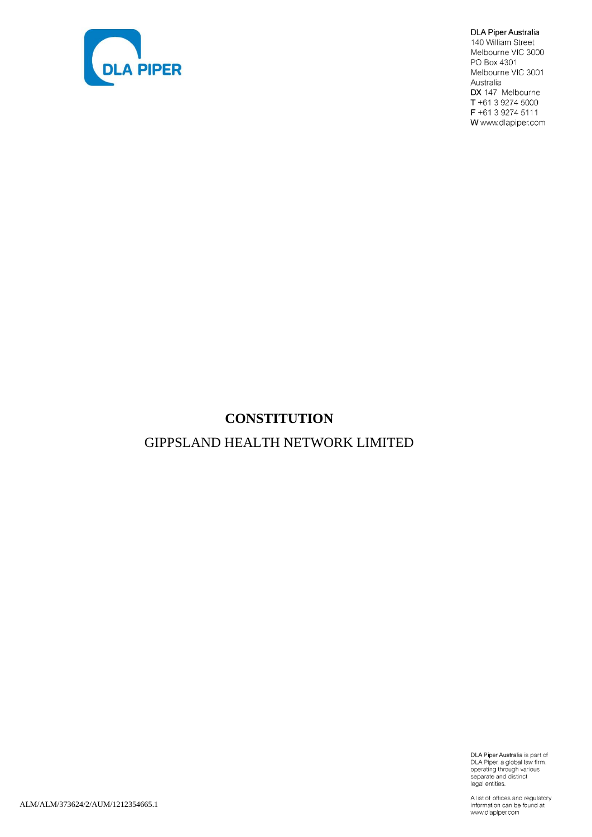

DLA Piper Australia 140 William Street Melbourne VIC 3000 PO Box 4301 Melbourne VIC 3001 Australia DX 147 Melbourne T +61 3 9274 5000 F +61 3 9274 5111 W www.dlapiper.com

# **CONSTITUTION**

# GIPPSLAND HEALTH NETWORK LIMITED

DLA Piper Australia is part of<br>DLA Piper, a global law firm,<br>operating through various<br>separate and distinct<br>legal entities.

A list of offices and regulatory information can be found at<br>www.dlapiper.com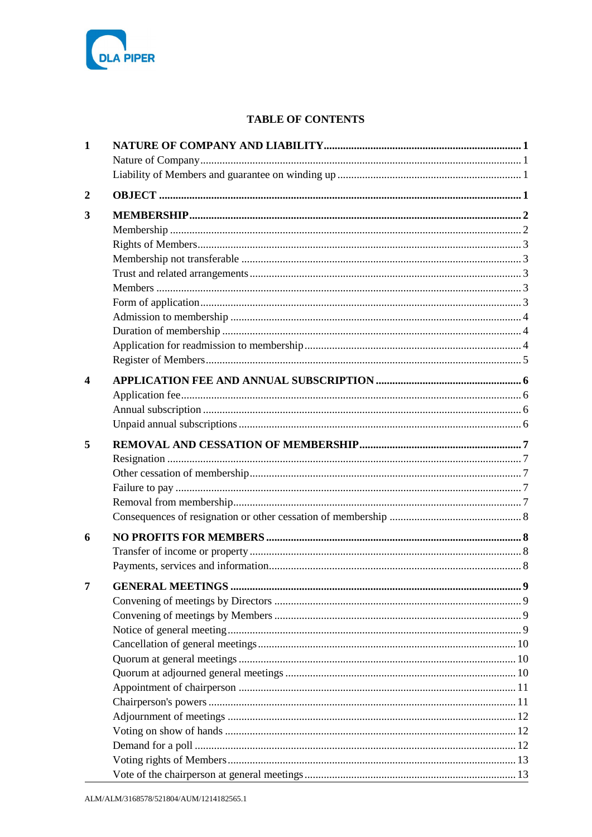

# **TABLE OF CONTENTS**

| $\mathbf{1}$     |  |
|------------------|--|
|                  |  |
|                  |  |
| $\boldsymbol{2}$ |  |
|                  |  |
| 3                |  |
|                  |  |
|                  |  |
|                  |  |
|                  |  |
|                  |  |
|                  |  |
|                  |  |
|                  |  |
|                  |  |
|                  |  |
| $\boldsymbol{4}$ |  |
|                  |  |
|                  |  |
|                  |  |
|                  |  |
| 5                |  |
|                  |  |
|                  |  |
|                  |  |
|                  |  |
|                  |  |
| 6                |  |
|                  |  |
|                  |  |
| 7                |  |
|                  |  |
|                  |  |
|                  |  |
|                  |  |
|                  |  |
|                  |  |
|                  |  |
|                  |  |
|                  |  |
|                  |  |
|                  |  |
|                  |  |
|                  |  |
|                  |  |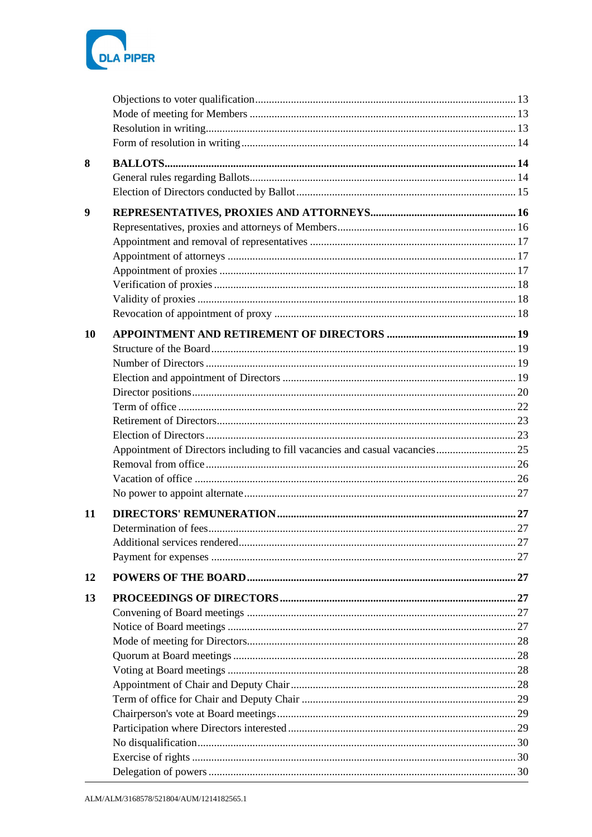

| 8  |  |
|----|--|
|    |  |
|    |  |
| 9  |  |
|    |  |
|    |  |
|    |  |
|    |  |
|    |  |
|    |  |
|    |  |
| 10 |  |
|    |  |
|    |  |
|    |  |
|    |  |
|    |  |
|    |  |
|    |  |
|    |  |
|    |  |
|    |  |
|    |  |
| 11 |  |
|    |  |
|    |  |
|    |  |
| 12 |  |
| 13 |  |
|    |  |
|    |  |
|    |  |
|    |  |
|    |  |
|    |  |
|    |  |
|    |  |
|    |  |
|    |  |
|    |  |
|    |  |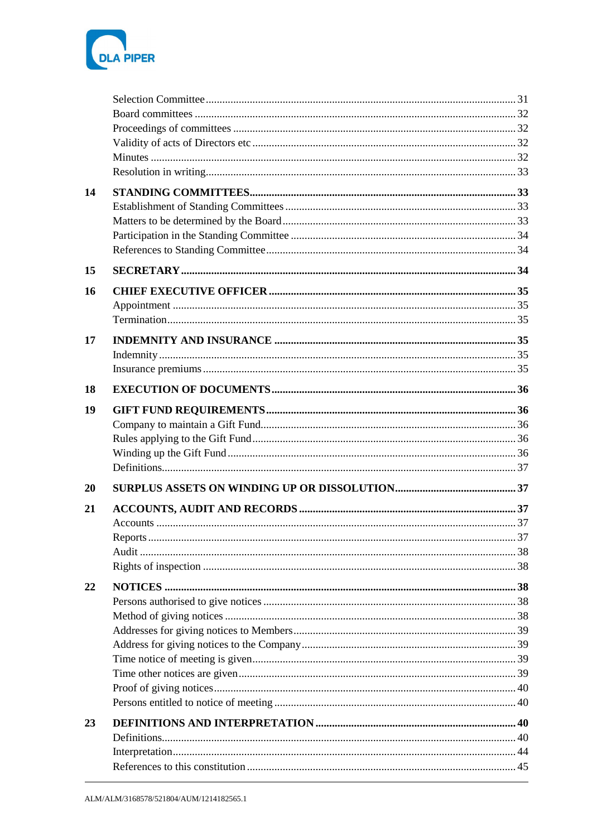

| 14 |  |
|----|--|
|    |  |
|    |  |
|    |  |
|    |  |
| 15 |  |
| 16 |  |
|    |  |
|    |  |
| 17 |  |
|    |  |
|    |  |
| 18 |  |
| 19 |  |
|    |  |
|    |  |
|    |  |
|    |  |
| 20 |  |
| 21 |  |
|    |  |
|    |  |
|    |  |
|    |  |
| 22 |  |
|    |  |
|    |  |
|    |  |
|    |  |
|    |  |
|    |  |
|    |  |
|    |  |
| 23 |  |
|    |  |
|    |  |
|    |  |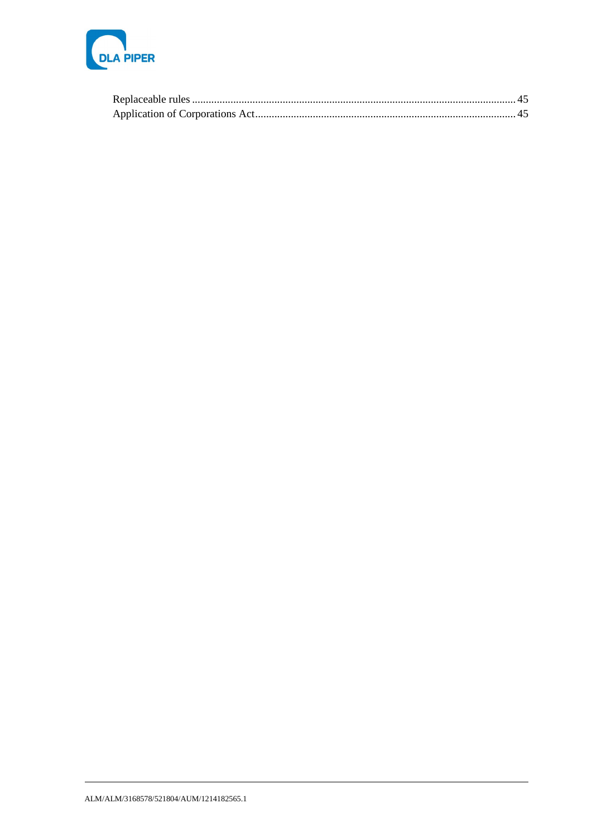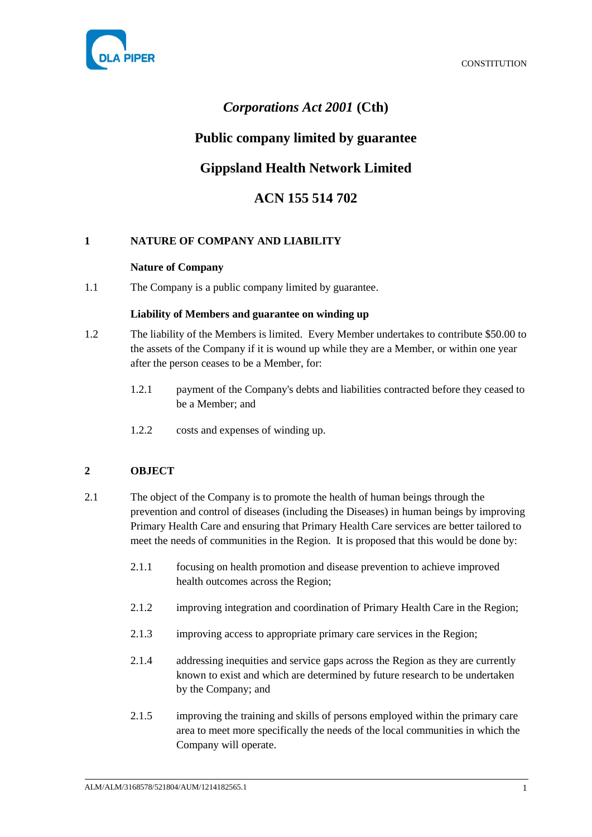



# *Corporations Act 2001* **(Cth)**

# **Public company limited by guarantee**

# **Gippsland Health Network Limited**

# **ACN 155 514 702**

# <span id="page-5-1"></span><span id="page-5-0"></span>**1 NATURE OF COMPANY AND LIABILITY**

### **Nature of Company**

<span id="page-5-2"></span>1.1 The Company is a public company limited by guarantee.

### **Liability of Members and guarantee on winding up**

- <span id="page-5-4"></span>1.2 The liability of the Members is limited. Every Member undertakes to contribute \$50.00 to the assets of the Company if it is wound up while they are a Member, or within one year after the person ceases to be a Member, for:
	- 1.2.1 payment of the Company's debts and liabilities contracted before they ceased to be a Member; and
	- 1.2.2 costs and expenses of winding up.

# <span id="page-5-3"></span>**2 OBJECT**

- 2.1 The object of the Company is to promote the health of human beings through the prevention and control of diseases (including the Diseases) in human beings by improving Primary Health Care and ensuring that Primary Health Care services are better tailored to meet the needs of communities in the Region. It is proposed that this would be done by:
	- 2.1.1 focusing on health promotion and disease prevention to achieve improved health outcomes across the Region;
	- 2.1.2 improving integration and coordination of Primary Health Care in the Region;
	- 2.1.3 improving access to appropriate primary care services in the Region;
	- 2.1.4 addressing inequities and service gaps across the Region as they are currently known to exist and which are determined by future research to be undertaken by the Company; and
	- 2.1.5 improving the training and skills of persons employed within the primary care area to meet more specifically the needs of the local communities in which the Company will operate.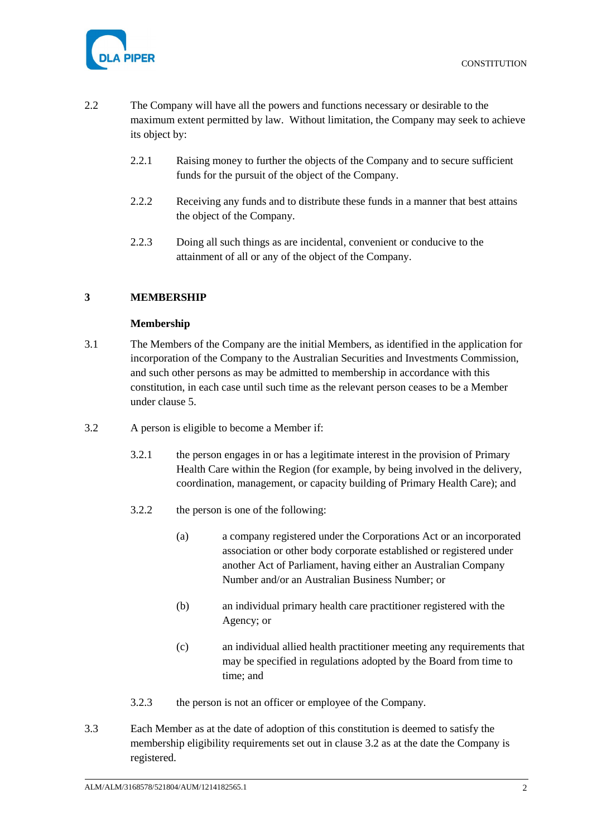

- 2.2 The Company will have all the powers and functions necessary or desirable to the maximum extent permitted by law. Without limitation, the Company may seek to achieve its object by:
	- 2.2.1 Raising money to further the objects of the Company and to secure sufficient funds for the pursuit of the object of the Company.
	- 2.2.2 Receiving any funds and to distribute these funds in a manner that best attains the object of the Company.
	- 2.2.3 Doing all such things as are incidental, convenient or conducive to the attainment of all or any of the object of the Company.

# <span id="page-6-1"></span><span id="page-6-0"></span>**3 MEMBERSHIP**

### **Membership**

- 3.1 The Members of the Company are the initial Members, as identified in the application for incorporation of the Company to the Australian Securities and Investments Commission, and such other persons as may be admitted to membership in accordance with this constitution, in each case until such time as the relevant person ceases to be a Member under clause [5.](#page-11-0)
- <span id="page-6-2"></span>3.2 A person is eligible to become a Member if:
	- 3.2.1 the person engages in or has a legitimate interest in the provision of Primary Health Care within the Region (for example, by being involved in the delivery, coordination, management, or capacity building of Primary Health Care); and
	- 3.2.2 the person is one of the following:
		- (a) a company registered under the Corporations Act or an incorporated association or other body corporate established or registered under another Act of Parliament, having either an Australian Company Number and/or an Australian Business Number; or
		- (b) an individual primary health care practitioner registered with the Agency; or
		- (c) an individual allied health practitioner meeting any requirements that may be specified in regulations adopted by the Board from time to time; and
	- 3.2.3 the person is not an officer or employee of the Company.
- 3.3 Each Member as at the date of adoption of this constitution is deemed to satisfy the membership eligibility requirements set out in clause [3.2](#page-6-2) as at the date the Company is registered.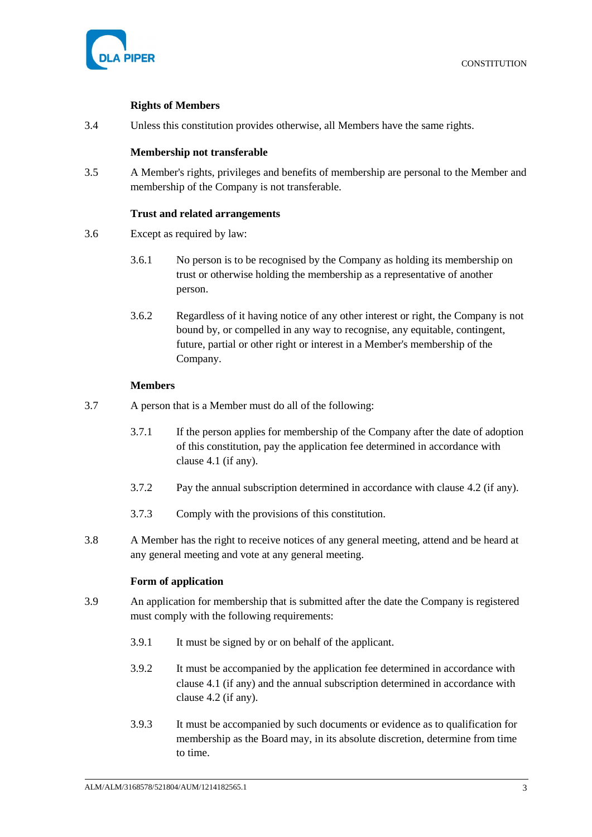

### **Rights of Members**

<span id="page-7-1"></span><span id="page-7-0"></span>3.4 Unless this constitution provides otherwise, all Members have the same rights.

### **Membership not transferable**

3.5 A Member's rights, privileges and benefits of membership are personal to the Member and membership of the Company is not transferable.

### **Trust and related arrangements**

- <span id="page-7-2"></span>3.6 Except as required by law:
	- 3.6.1 No person is to be recognised by the Company as holding its membership on trust or otherwise holding the membership as a representative of another person.
	- 3.6.2 Regardless of it having notice of any other interest or right, the Company is not bound by, or compelled in any way to recognise, any equitable, contingent, future, partial or other right or interest in a Member's membership of the Company.

### **Members**

- <span id="page-7-3"></span>3.7 A person that is a Member must do all of the following:
	- 3.7.1 If the person applies for membership of the Company after the date of adoption of this constitution, pay the application fee determined in accordance with clause [4.1](#page-10-4) (if any).
	- 3.7.2 Pay the annual subscription determined in accordance with clause [4.2](#page-10-5) (if any).
	- 3.7.3 Comply with the provisions of this constitution.
- 3.8 A Member has the right to receive notices of any general meeting, attend and be heard at any general meeting and vote at any general meeting.

### **Form of application**

- <span id="page-7-4"></span>3.9 An application for membership that is submitted after the date the Company is registered must comply with the following requirements:
	- 3.9.1 It must be signed by or on behalf of the applicant.
	- 3.9.2 It must be accompanied by the application fee determined in accordance with clause [4.1](#page-10-4) (if any) and the annual subscription determined in accordance with clause [4.2](#page-10-5) (if any).
	- 3.9.3 It must be accompanied by such documents or evidence as to qualification for membership as the Board may, in its absolute discretion, determine from time to time.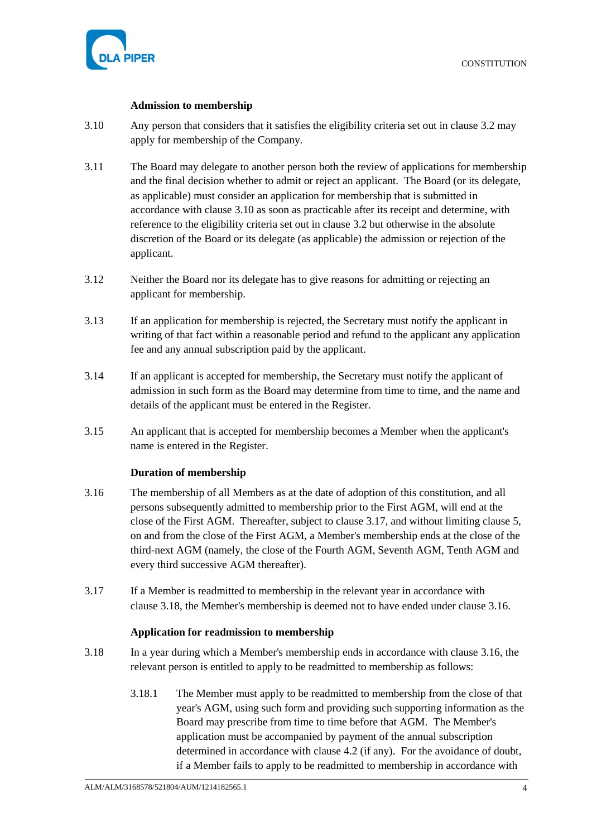

### **Admission to membership**

- <span id="page-8-3"></span><span id="page-8-0"></span>3.10 Any person that considers that it satisfies the eligibility criteria set out in clause [3.2](#page-6-2) may apply for membership of the Company.
- 3.11 The Board may delegate to another person both the review of applications for membership and the final decision whether to admit or reject an applicant. The Board (or its delegate, as applicable) must consider an application for membership that is submitted in accordance with clause [3.10](#page-8-3) as soon as practicable after its receipt and determine, with reference to the eligibility criteria set out in clause [3.2](#page-6-2) but otherwise in the absolute discretion of the Board or its delegate (as applicable) the admission or rejection of the applicant.
- 3.12 Neither the Board nor its delegate has to give reasons for admitting or rejecting an applicant for membership.
- 3.13 If an application for membership is rejected, the Secretary must notify the applicant in writing of that fact within a reasonable period and refund to the applicant any application fee and any annual subscription paid by the applicant.
- 3.14 If an applicant is accepted for membership, the Secretary must notify the applicant of admission in such form as the Board may determine from time to time, and the name and details of the applicant must be entered in the Register.
- 3.15 An applicant that is accepted for membership becomes a Member when the applicant's name is entered in the Register.

### **Duration of membership**

- <span id="page-8-6"></span><span id="page-8-1"></span>3.16 The membership of all Members as at the date of adoption of this constitution, and all persons subsequently admitted to membership prior to the First AGM, will end at the close of the First AGM. Thereafter, subject to clause [3.17,](#page-8-4) and without limiting clause [5,](#page-11-0) on and from the close of the First AGM, a Member's membership ends at the close of the third-next AGM (namely, the close of the Fourth AGM, Seventh AGM, Tenth AGM and every third successive AGM thereafter).
- <span id="page-8-4"></span>3.17 If a Member is readmitted to membership in the relevant year in accordance with clause [3.18,](#page-8-5) the Member's membership is deemed not to have ended under clause [3.16.](#page-8-6)

### **Application for readmission to membership**

- <span id="page-8-7"></span><span id="page-8-5"></span><span id="page-8-2"></span>3.18 In a year during which a Member's membership ends in accordance with clause [3.16,](#page-8-6) the relevant person is entitled to apply to be readmitted to membership as follows:
	- 3.18.1 The Member must apply to be readmitted to membership from the close of that year's AGM, using such form and providing such supporting information as the Board may prescribe from time to time before that AGM. The Member's application must be accompanied by payment of the annual subscription determined in accordance with clause [4.2](#page-10-5) (if any). For the avoidance of doubt, if a Member fails to apply to be readmitted to membership in accordance with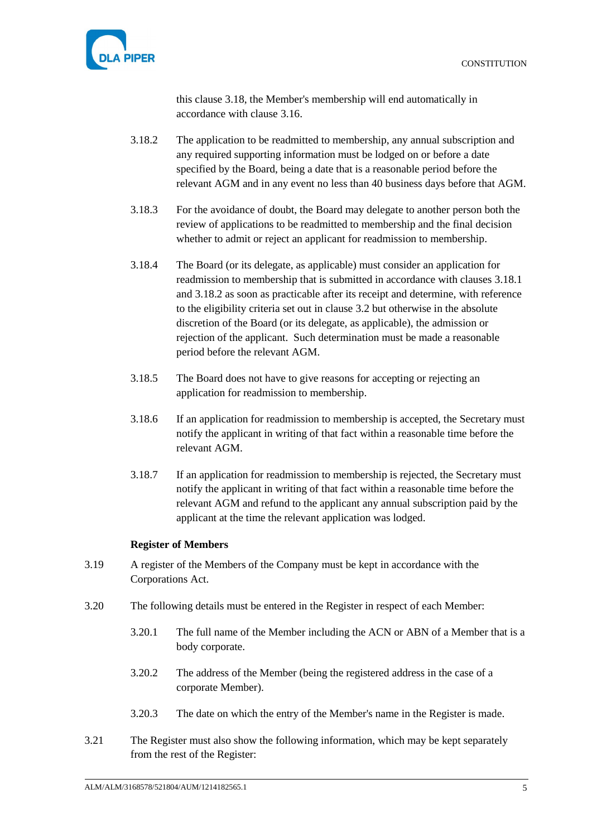

this clause [3.18,](#page-8-5) the Member's membership will end automatically in accordance with clause [3.16.](#page-8-6)

- <span id="page-9-1"></span>3.18.2 The application to be readmitted to membership, any annual subscription and any required supporting information must be lodged on or before a date specified by the Board, being a date that is a reasonable period before the relevant AGM and in any event no less than 40 business days before that AGM.
- 3.18.3 For the avoidance of doubt, the Board may delegate to another person both the review of applications to be readmitted to membership and the final decision whether to admit or reject an applicant for readmission to membership.
- 3.18.4 The Board (or its delegate, as applicable) must consider an application for readmission to membership that is submitted in accordance with clauses [3.18.1](#page-8-7) and [3.18.2](#page-9-1) as soon as practicable after its receipt and determine, with reference to the eligibility criteria set out in clause [3.2](#page-6-2) but otherwise in the absolute discretion of the Board (or its delegate, as applicable), the admission or rejection of the applicant. Such determination must be made a reasonable period before the relevant AGM.
- 3.18.5 The Board does not have to give reasons for accepting or rejecting an application for readmission to membership.
- 3.18.6 If an application for readmission to membership is accepted, the Secretary must notify the applicant in writing of that fact within a reasonable time before the relevant AGM.
- 3.18.7 If an application for readmission to membership is rejected, the Secretary must notify the applicant in writing of that fact within a reasonable time before the relevant AGM and refund to the applicant any annual subscription paid by the applicant at the time the relevant application was lodged.

### **Register of Members**

- <span id="page-9-0"></span>3.19 A register of the Members of the Company must be kept in accordance with the Corporations Act.
- 3.20 The following details must be entered in the Register in respect of each Member:
	- 3.20.1 The full name of the Member including the ACN or ABN of a Member that is a body corporate.
	- 3.20.2 The address of the Member (being the registered address in the case of a corporate Member).
	- 3.20.3 The date on which the entry of the Member's name in the Register is made.
- 3.21 The Register must also show the following information, which may be kept separately from the rest of the Register: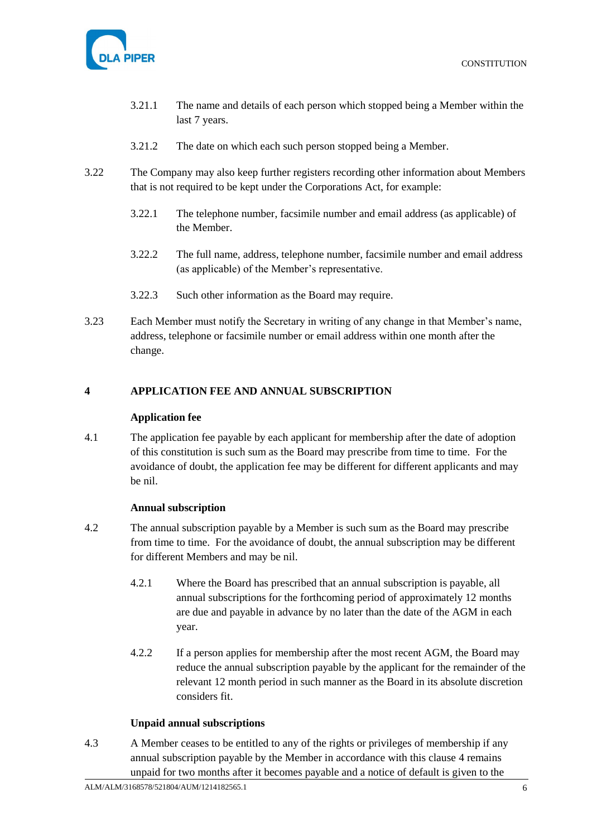

- 3.21.1 The name and details of each person which stopped being a Member within the last 7 years.
- 3.21.2 The date on which each such person stopped being a Member.
- 3.22 The Company may also keep further registers recording other information about Members that is not required to be kept under the Corporations Act, for example:
	- 3.22.1 The telephone number, facsimile number and email address (as applicable) of the Member.
	- 3.22.2 The full name, address, telephone number, facsimile number and email address (as applicable) of the Member's representative.
	- 3.22.3 Such other information as the Board may require.
- 3.23 Each Member must notify the Secretary in writing of any change in that Member's name, address, telephone or facsimile number or email address within one month after the change.

### <span id="page-10-1"></span><span id="page-10-0"></span>**4 APPLICATION FEE AND ANNUAL SUBSCRIPTION**

### **Application fee**

<span id="page-10-4"></span>4.1 The application fee payable by each applicant for membership after the date of adoption of this constitution is such sum as the Board may prescribe from time to time. For the avoidance of doubt, the application fee may be different for different applicants and may be nil.

### **Annual subscription**

- <span id="page-10-5"></span><span id="page-10-2"></span>4.2 The annual subscription payable by a Member is such sum as the Board may prescribe from time to time. For the avoidance of doubt, the annual subscription may be different for different Members and may be nil.
	- 4.2.1 Where the Board has prescribed that an annual subscription is payable, all annual subscriptions for the forthcoming period of approximately 12 months are due and payable in advance by no later than the date of the AGM in each year.
	- 4.2.2 If a person applies for membership after the most recent AGM, the Board may reduce the annual subscription payable by the applicant for the remainder of the relevant 12 month period in such manner as the Board in its absolute discretion considers fit.

### **Unpaid annual subscriptions**

<span id="page-10-6"></span><span id="page-10-3"></span>4.3 A Member ceases to be entitled to any of the rights or privileges of membership if any annual subscription payable by the Member in accordance with this clause [4](#page-10-0) remains unpaid for two months after it becomes payable and a notice of default is given to the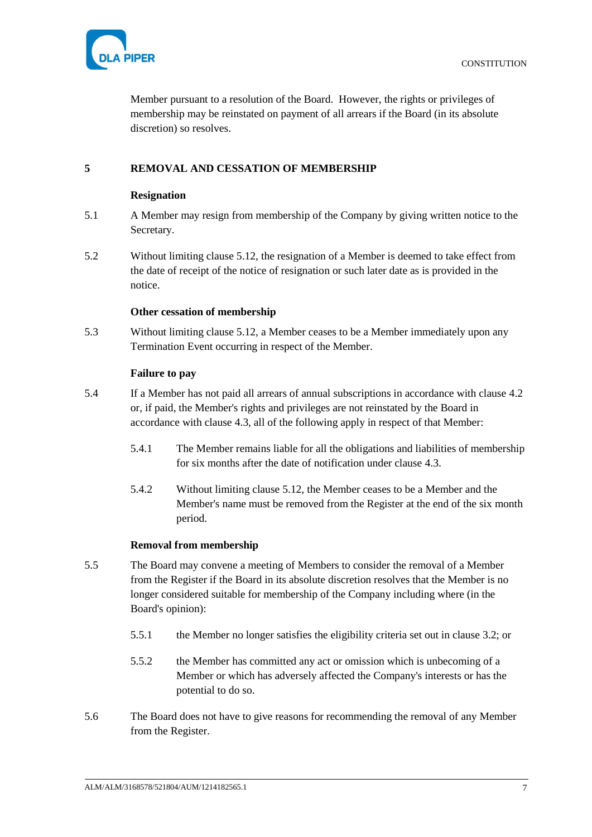

Member pursuant to a resolution of the Board. However, the rights or privileges of membership may be reinstated on payment of all arrears if the Board (in its absolute discretion) so resolves.

# <span id="page-11-1"></span><span id="page-11-0"></span>**5 REMOVAL AND CESSATION OF MEMBERSHIP**

### **Resignation**

- <span id="page-11-6"></span>5.1 A Member may resign from membership of the Company by giving written notice to the Secretary.
- 5.2 Without limiting clause [5.12,](#page-12-4) the resignation of a Member is deemed to take effect from the date of receipt of the notice of resignation or such later date as is provided in the notice.

#### **Other cessation of membership**

<span id="page-11-7"></span><span id="page-11-2"></span>5.3 Without limiting clause [5.12,](#page-12-4) a Member ceases to be a Member immediately upon any Termination Event occurring in respect of the Member.

#### **Failure to pay**

- <span id="page-11-8"></span><span id="page-11-3"></span>5.4 If a Member has not paid all arrears of annual subscriptions in accordance with clause [4.2](#page-10-5) or, if paid, the Member's rights and privileges are not reinstated by the Board in accordance with clause [4.3,](#page-10-6) all of the following apply in respect of that Member:
	- 5.4.1 The Member remains liable for all the obligations and liabilities of membership for six months after the date of notification under clause [4.3.](#page-10-6)
	- 5.4.2 Without limiting clause [5.12,](#page-12-4) the Member ceases to be a Member and the Member's name must be removed from the Register at the end of the six month period.

### **Removal from membership**

- <span id="page-11-5"></span><span id="page-11-4"></span>5.5 The Board may convene a meeting of Members to consider the removal of a Member from the Register if the Board in its absolute discretion resolves that the Member is no longer considered suitable for membership of the Company including where (in the Board's opinion):
	- 5.5.1 the Member no longer satisfies the eligibility criteria set out in clause [3.2;](#page-6-2) or
	- 5.5.2 the Member has committed any act or omission which is unbecoming of a Member or which has adversely affected the Company's interests or has the potential to do so.
- 5.6 The Board does not have to give reasons for recommending the removal of any Member from the Register.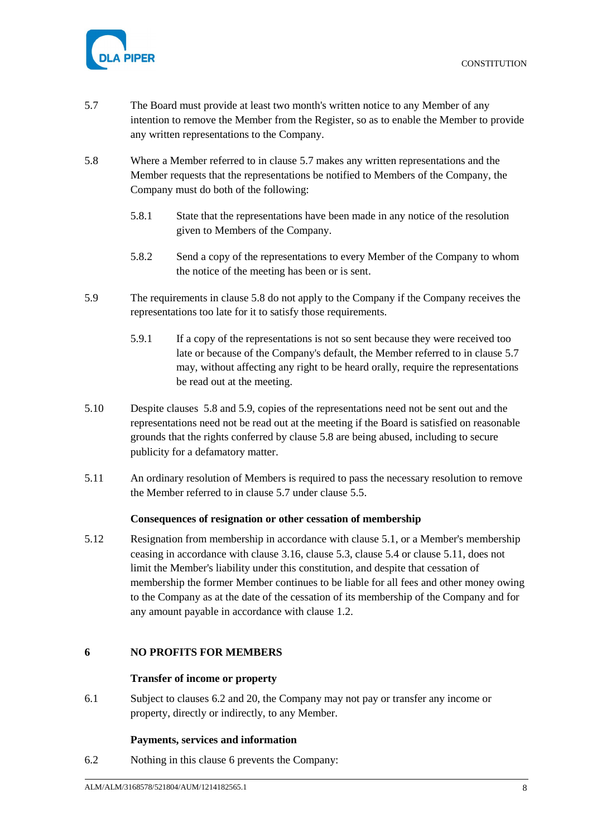

- <span id="page-12-5"></span>5.7 The Board must provide at least two month's written notice to any Member of any intention to remove the Member from the Register, so as to enable the Member to provide any written representations to the Company.
- <span id="page-12-6"></span>5.8 Where a Member referred to in clause [5.7](#page-12-5) makes any written representations and the Member requests that the representations be notified to Members of the Company, the Company must do both of the following:
	- 5.8.1 State that the representations have been made in any notice of the resolution given to Members of the Company.
	- 5.8.2 Send a copy of the representations to every Member of the Company to whom the notice of the meeting has been or is sent.
- <span id="page-12-7"></span>5.9 The requirements in clause [5.8](#page-12-6) do not apply to the Company if the Company receives the representations too late for it to satisfy those requirements.
	- 5.9.1 If a copy of the representations is not so sent because they were received too late or because of the Company's default, the Member referred to in clause [5.7](#page-12-5) may, without affecting any right to be heard orally, require the representations be read out at the meeting.
- 5.10 Despite clauses [5.8](#page-12-6) and [5.9,](#page-12-7) copies of the representations need not be sent out and the representations need not be read out at the meeting if the Board is satisfied on reasonable grounds that the rights conferred by clause [5.8](#page-12-6) are being abused, including to secure publicity for a defamatory matter.
- <span id="page-12-8"></span>5.11 An ordinary resolution of Members is required to pass the necessary resolution to remove the Member referred to in clause [5.7](#page-12-5) under clause [5.5.](#page-11-5)

### **Consequences of resignation or other cessation of membership**

<span id="page-12-4"></span><span id="page-12-0"></span>5.12 Resignation from membership in accordance with clause [5.1,](#page-11-6) or a Member's membership ceasing in accordance with clause [3.16,](#page-8-6) clause [5.3,](#page-11-7) clause [5.4](#page-11-8) or clause [5.11,](#page-12-8) does not limit the Member's liability under this constitution, and despite that cessation of membership the former Member continues to be liable for all fees and other money owing to the Company as at the date of the cessation of its membership of the Company and for any amount payable in accordance with clause [1.2.](#page-5-4)

### <span id="page-12-2"></span><span id="page-12-1"></span>**6 NO PROFITS FOR MEMBERS**

### **Transfer of income or property**

6.1 Subject to clauses [6.2](#page-12-9) and [20,](#page-41-1) the Company may not pay or transfer any income or property, directly or indirectly, to any Member.

### **Payments, services and information**

<span id="page-12-9"></span><span id="page-12-3"></span>6.2 Nothing in this clause [6](#page-12-1) prevents the Company: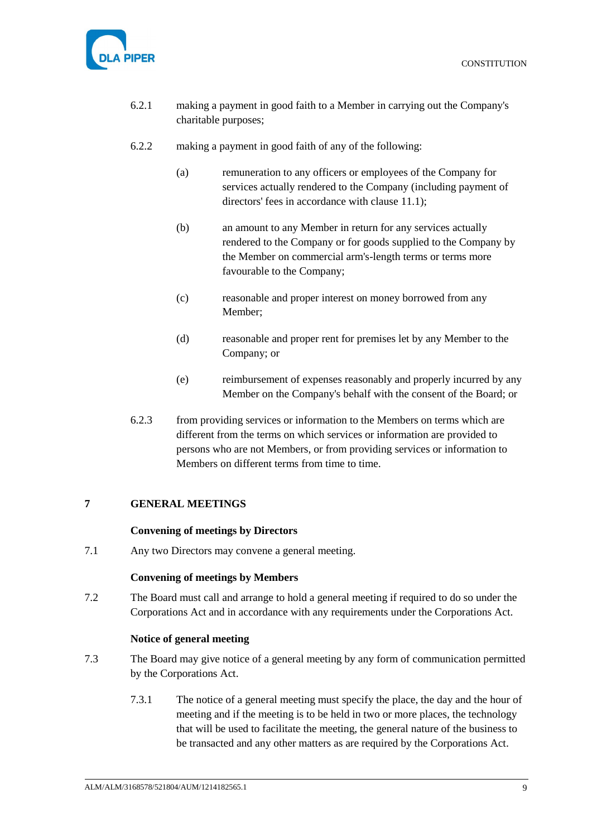



- 6.2.1 making a payment in good faith to a Member in carrying out the Company's charitable purposes;
- 6.2.2 making a payment in good faith of any of the following:
	- (a) remuneration to any officers or employees of the Company for services actually rendered to the Company (including payment of directors' fees in accordance with clause [11.1\)](#page-31-9);
	- (b) an amount to any Member in return for any services actually rendered to the Company or for goods supplied to the Company by the Member on commercial arm's-length terms or terms more favourable to the Company;
	- (c) reasonable and proper interest on money borrowed from any Member;
	- (d) reasonable and proper rent for premises let by any Member to the Company; or
	- (e) reimbursement of expenses reasonably and properly incurred by any Member on the Company's behalf with the consent of the Board; or
- 6.2.3 from providing services or information to the Members on terms which are different from the terms on which services or information are provided to persons who are not Members, or from providing services or information to Members on different terms from time to time.

# <span id="page-13-1"></span><span id="page-13-0"></span>**7 GENERAL MEETINGS**

### **Convening of meetings by Directors**

<span id="page-13-2"></span>7.1 Any two Directors may convene a general meeting.

#### **Convening of meetings by Members**

7.2 The Board must call and arrange to hold a general meeting if required to do so under the Corporations Act and in accordance with any requirements under the Corporations Act.

#### **Notice of general meeting**

- <span id="page-13-3"></span>7.3 The Board may give notice of a general meeting by any form of communication permitted by the Corporations Act.
	- 7.3.1 The notice of a general meeting must specify the place, the day and the hour of meeting and if the meeting is to be held in two or more places, the technology that will be used to facilitate the meeting, the general nature of the business to be transacted and any other matters as are required by the Corporations Act.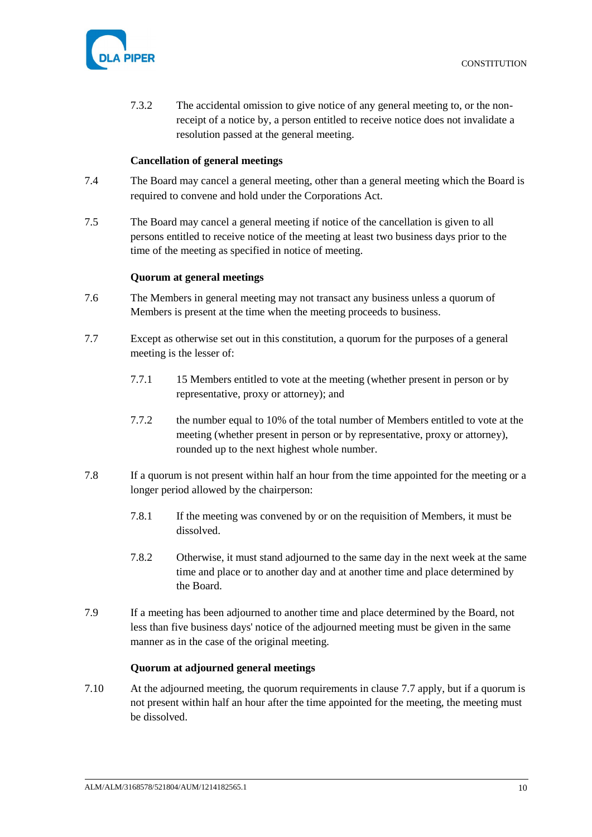

7.3.2 The accidental omission to give notice of any general meeting to, or the nonreceipt of a notice by, a person entitled to receive notice does not invalidate a resolution passed at the general meeting.

### **Cancellation of general meetings**

- <span id="page-14-0"></span>7.4 The Board may cancel a general meeting, other than a general meeting which the Board is required to convene and hold under the Corporations Act.
- 7.5 The Board may cancel a general meeting if notice of the cancellation is given to all persons entitled to receive notice of the meeting at least two business days prior to the time of the meeting as specified in notice of meeting.

### **Quorum at general meetings**

- <span id="page-14-1"></span>7.6 The Members in general meeting may not transact any business unless a quorum of Members is present at the time when the meeting proceeds to business.
- <span id="page-14-3"></span>7.7 Except as otherwise set out in this constitution, a quorum for the purposes of a general meeting is the lesser of:
	- 7.7.1 15 Members entitled to vote at the meeting (whether present in person or by representative, proxy or attorney); and
	- 7.7.2 the number equal to 10% of the total number of Members entitled to vote at the meeting (whether present in person or by representative, proxy or attorney), rounded up to the next highest whole number.
- 7.8 If a quorum is not present within half an hour from the time appointed for the meeting or a longer period allowed by the chairperson:
	- 7.8.1 If the meeting was convened by or on the requisition of Members, it must be dissolved.
	- 7.8.2 Otherwise, it must stand adjourned to the same day in the next week at the same time and place or to another day and at another time and place determined by the Board.
- 7.9 If a meeting has been adjourned to another time and place determined by the Board, not less than five business days' notice of the adjourned meeting must be given in the same manner as in the case of the original meeting.

### **Quorum at adjourned general meetings**

<span id="page-14-2"></span>7.10 At the adjourned meeting, the quorum requirements in clause [7.7](#page-14-3) apply, but if a quorum is not present within half an hour after the time appointed for the meeting, the meeting must be dissolved.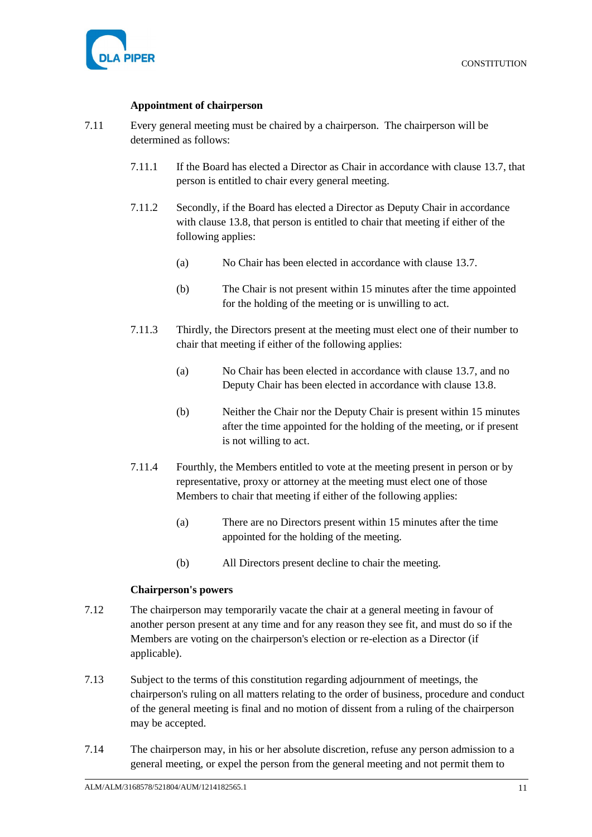### **Appointment of chairperson**

- <span id="page-15-0"></span>7.11 Every general meeting must be chaired by a chairperson. The chairperson will be determined as follows:
	- 7.11.1 If the Board has elected a Director as Chair in accordance with clause [13.7,](#page-32-4) that person is entitled to chair every general meeting.
	- 7.11.2 Secondly, if the Board has elected a Director as Deputy Chair in accordance with clause [13.8,](#page-32-5) that person is entitled to chair that meeting if either of the following applies:
		- (a) No Chair has been elected in accordance with clause [13.7.](#page-32-4)
		- (b) The Chair is not present within 15 minutes after the time appointed for the holding of the meeting or is unwilling to act.
	- 7.11.3 Thirdly, the Directors present at the meeting must elect one of their number to chair that meeting if either of the following applies:
		- (a) No Chair has been elected in accordance with clause [13.7,](#page-32-4) and no Deputy Chair has been elected in accordance with clause [13.8.](#page-32-5)
		- (b) Neither the Chair nor the Deputy Chair is present within 15 minutes after the time appointed for the holding of the meeting, or if present is not willing to act.
	- 7.11.4 Fourthly, the Members entitled to vote at the meeting present in person or by representative, proxy or attorney at the meeting must elect one of those Members to chair that meeting if either of the following applies:
		- (a) There are no Directors present within 15 minutes after the time appointed for the holding of the meeting.
		- (b) All Directors present decline to chair the meeting.

### **Chairperson's powers**

- <span id="page-15-1"></span>7.12 The chairperson may temporarily vacate the chair at a general meeting in favour of another person present at any time and for any reason they see fit, and must do so if the Members are voting on the chairperson's election or re-election as a Director (if applicable).
- 7.13 Subject to the terms of this constitution regarding adjournment of meetings, the chairperson's ruling on all matters relating to the order of business, procedure and conduct of the general meeting is final and no motion of dissent from a ruling of the chairperson may be accepted.
- 7.14 The chairperson may, in his or her absolute discretion, refuse any person admission to a general meeting, or expel the person from the general meeting and not permit them to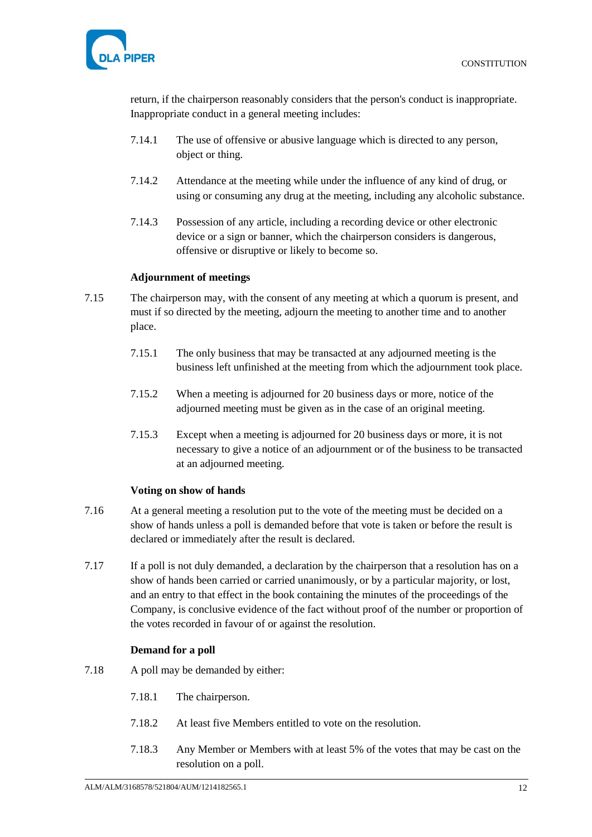

return, if the chairperson reasonably considers that the person's conduct is inappropriate. Inappropriate conduct in a general meeting includes:

- 7.14.1 The use of offensive or abusive language which is directed to any person, object or thing.
- 7.14.2 Attendance at the meeting while under the influence of any kind of drug, or using or consuming any drug at the meeting, including any alcoholic substance.
- 7.14.3 Possession of any article, including a recording device or other electronic device or a sign or banner, which the chairperson considers is dangerous, offensive or disruptive or likely to become so.

## **Adjournment of meetings**

- <span id="page-16-0"></span>7.15 The chairperson may, with the consent of any meeting at which a quorum is present, and must if so directed by the meeting, adjourn the meeting to another time and to another place.
	- 7.15.1 The only business that may be transacted at any adjourned meeting is the business left unfinished at the meeting from which the adjournment took place.
	- 7.15.2 When a meeting is adjourned for 20 business days or more, notice of the adjourned meeting must be given as in the case of an original meeting.
	- 7.15.3 Except when a meeting is adjourned for 20 business days or more, it is not necessary to give a notice of an adjournment or of the business to be transacted at an adjourned meeting.

### **Voting on show of hands**

- <span id="page-16-1"></span>7.16 At a general meeting a resolution put to the vote of the meeting must be decided on a show of hands unless a poll is demanded before that vote is taken or before the result is declared or immediately after the result is declared.
- 7.17 If a poll is not duly demanded, a declaration by the chairperson that a resolution has on a show of hands been carried or carried unanimously, or by a particular majority, or lost, and an entry to that effect in the book containing the minutes of the proceedings of the Company, is conclusive evidence of the fact without proof of the number or proportion of the votes recorded in favour of or against the resolution.

# **Demand for a poll**

- <span id="page-16-2"></span>7.18 A poll may be demanded by either:
	- 7.18.1 The chairperson.
	- 7.18.2 At least five Members entitled to vote on the resolution.
	- 7.18.3 Any Member or Members with at least 5% of the votes that may be cast on the resolution on a poll.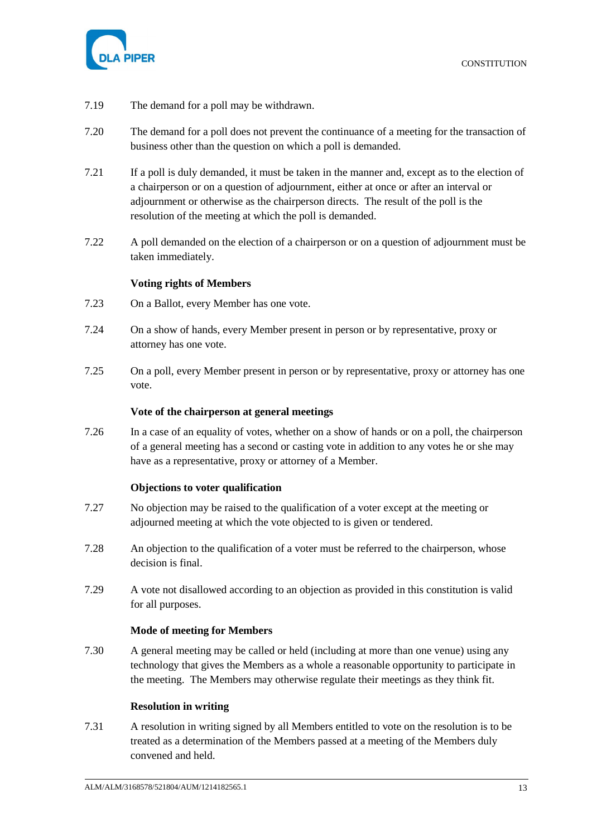

- 7.19 The demand for a poll may be withdrawn.
- 7.20 The demand for a poll does not prevent the continuance of a meeting for the transaction of business other than the question on which a poll is demanded.
- 7.21 If a poll is duly demanded, it must be taken in the manner and, except as to the election of a chairperson or on a question of adjournment, either at once or after an interval or adjournment or otherwise as the chairperson directs. The result of the poll is the resolution of the meeting at which the poll is demanded.
- 7.22 A poll demanded on the election of a chairperson or on a question of adjournment must be taken immediately.

### **Voting rights of Members**

- <span id="page-17-5"></span><span id="page-17-0"></span>7.23 On a Ballot, every Member has one vote.
- 7.24 On a show of hands, every Member present in person or by representative, proxy or attorney has one vote.
- <span id="page-17-6"></span>7.25 On a poll, every Member present in person or by representative, proxy or attorney has one vote.

### **Vote of the chairperson at general meetings**

<span id="page-17-1"></span>7.26 In a case of an equality of votes, whether on a show of hands or on a poll, the chairperson of a general meeting has a second or casting vote in addition to any votes he or she may have as a representative, proxy or attorney of a Member.

#### **Objections to voter qualification**

- <span id="page-17-2"></span>7.27 No objection may be raised to the qualification of a voter except at the meeting or adjourned meeting at which the vote objected to is given or tendered.
- 7.28 An objection to the qualification of a voter must be referred to the chairperson, whose decision is final.
- 7.29 A vote not disallowed according to an objection as provided in this constitution is valid for all purposes.

#### **Mode of meeting for Members**

<span id="page-17-3"></span>7.30 A general meeting may be called or held (including at more than one venue) using any technology that gives the Members as a whole a reasonable opportunity to participate in the meeting. The Members may otherwise regulate their meetings as they think fit.

#### **Resolution in writing**

<span id="page-17-4"></span>7.31 A resolution in writing signed by all Members entitled to vote on the resolution is to be treated as a determination of the Members passed at a meeting of the Members duly convened and held.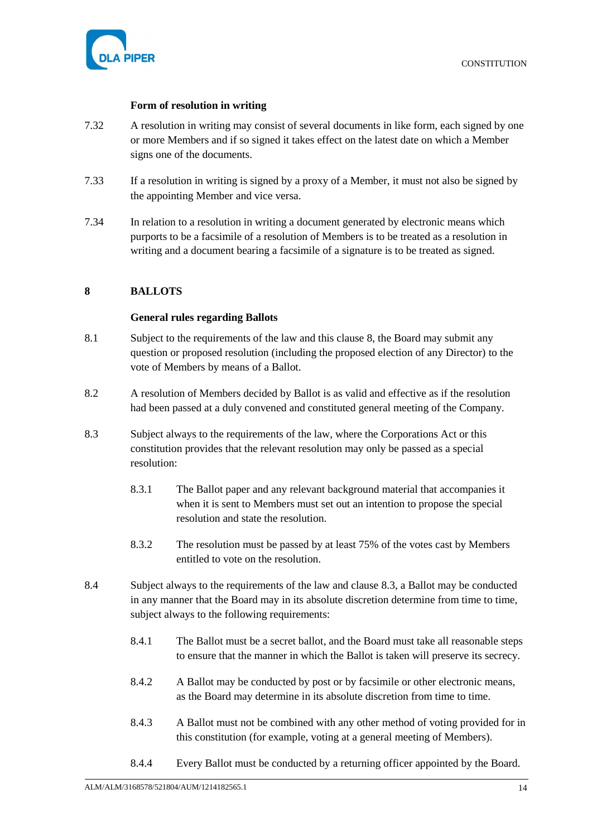

### **Form of resolution in writing**

- <span id="page-18-0"></span>7.32 A resolution in writing may consist of several documents in like form, each signed by one or more Members and if so signed it takes effect on the latest date on which a Member signs one of the documents.
- 7.33 If a resolution in writing is signed by a proxy of a Member, it must not also be signed by the appointing Member and vice versa.
- 7.34 In relation to a resolution in writing a document generated by electronic means which purports to be a facsimile of a resolution of Members is to be treated as a resolution in writing and a document bearing a facsimile of a signature is to be treated as signed.

### <span id="page-18-2"></span><span id="page-18-1"></span>**8 BALLOTS**

#### **General rules regarding Ballots**

- <span id="page-18-4"></span>8.1 Subject to the requirements of the law and this clause [8,](#page-18-1) the Board may submit any question or proposed resolution (including the proposed election of any Director) to the vote of Members by means of a Ballot.
- 8.2 A resolution of Members decided by Ballot is as valid and effective as if the resolution had been passed at a duly convened and constituted general meeting of the Company.
- <span id="page-18-3"></span>8.3 Subject always to the requirements of the law, where the Corporations Act or this constitution provides that the relevant resolution may only be passed as a special resolution:
	- 8.3.1 The Ballot paper and any relevant background material that accompanies it when it is sent to Members must set out an intention to propose the special resolution and state the resolution.
	- 8.3.2 The resolution must be passed by at least 75% of the votes cast by Members entitled to vote on the resolution.
- 8.4 Subject always to the requirements of the law and clause [8.3,](#page-18-3) a Ballot may be conducted in any manner that the Board may in its absolute discretion determine from time to time, subject always to the following requirements:
	- 8.4.1 The Ballot must be a secret ballot, and the Board must take all reasonable steps to ensure that the manner in which the Ballot is taken will preserve its secrecy.
	- 8.4.2 A Ballot may be conducted by post or by facsimile or other electronic means, as the Board may determine in its absolute discretion from time to time.
	- 8.4.3 A Ballot must not be combined with any other method of voting provided for in this constitution (for example, voting at a general meeting of Members).
	- 8.4.4 Every Ballot must be conducted by a returning officer appointed by the Board.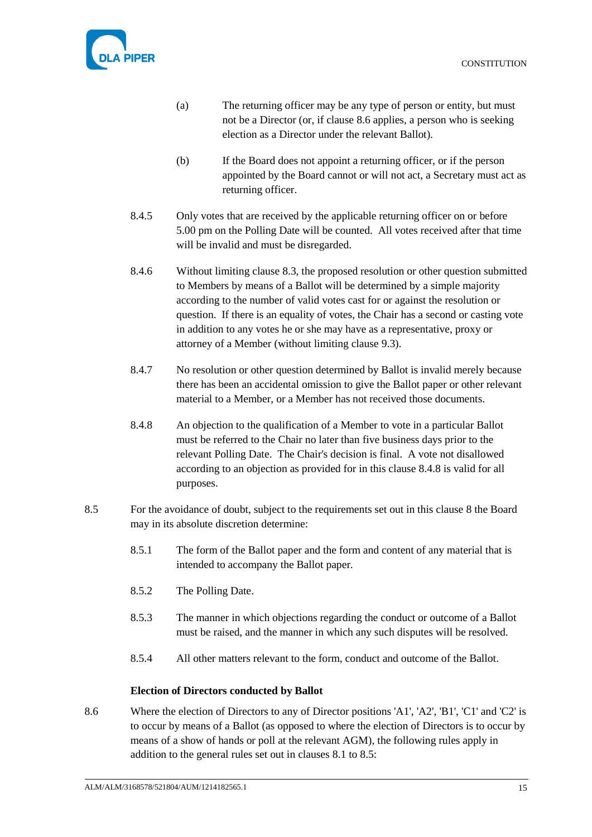

- (a) The returning officer may be any type of person or entity, but must not be a Director (or, if clause [8.6](#page-19-1) applies, a person who is seeking election as a Director under the relevant Ballot).
- (b) If the Board does not appoint a returning officer, or if the person appointed by the Board cannot or will not act, a Secretary must act as returning officer.
- 8.4.5 Only votes that are received by the applicable returning officer on or before 5.00 pm on the Polling Date will be counted. All votes received after that time will be invalid and must be disregarded.
- 8.4.6 Without limiting clause [8.3,](#page-18-3) the proposed resolution or other question submitted to Members by means of a Ballot will be determined by a simple majority according to the number of valid votes cast for or against the resolution or question. If there is an equality of votes, the Chair has a second or casting vote in addition to any votes he or she may have as a representative, proxy or attorney of a Member (without limiting clause [9.3\)](#page-21-3).
- 8.4.7 No resolution or other question determined by Ballot is invalid merely because there has been an accidental omission to give the Ballot paper or other relevant material to a Member, or a Member has not received those documents.
- <span id="page-19-2"></span>8.4.8 An objection to the qualification of a Member to vote in a particular Ballot must be referred to the Chair no later than five business days prior to the relevant Polling Date. The Chair's decision is final. A vote not disallowed according to an objection as provided for in this clause [8.4.8](#page-19-2) is valid for all purposes.
- <span id="page-19-3"></span>8.5 For the avoidance of doubt, subject to the requirements set out in this clause [8](#page-18-1) the Board may in its absolute discretion determine:
	- 8.5.1 The form of the Ballot paper and the form and content of any material that is intended to accompany the Ballot paper.
	- 8.5.2 The Polling Date.
	- 8.5.3 The manner in which objections regarding the conduct or outcome of a Ballot must be raised, and the manner in which any such disputes will be resolved.
	- 8.5.4 All other matters relevant to the form, conduct and outcome of the Ballot.

### **Election of Directors conducted by Ballot**

<span id="page-19-1"></span><span id="page-19-0"></span>8.6 Where the election of Directors to any of Director positions 'A1', 'A2', 'B1', 'C1' and 'C2' is to occur by means of a Ballot (as opposed to where the election of Directors is to occur by means of a show of hands or poll at the relevant AGM), the following rules apply in addition to the general rules set out in clauses [8.1](#page-18-4) to [8.5:](#page-19-3)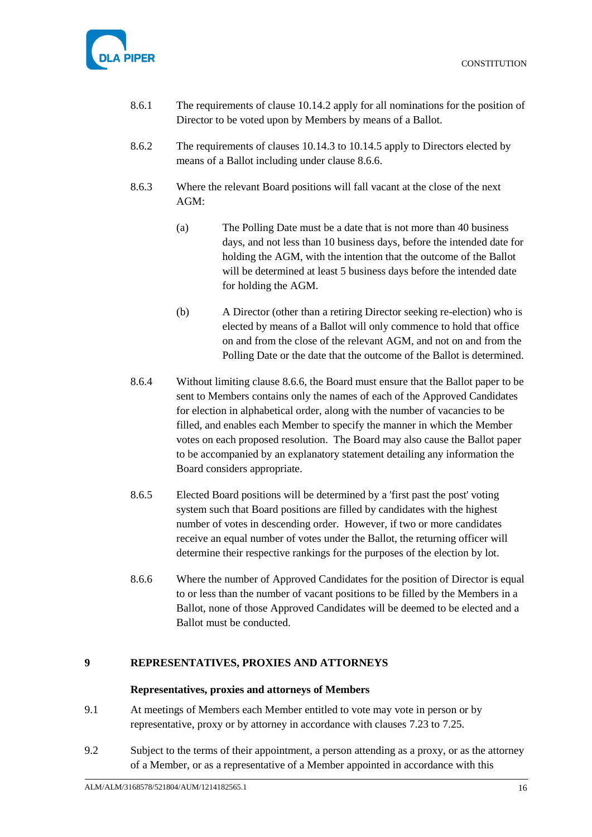

- 8.6.1 The requirements of clause [10.14.2](#page-28-0) apply for all nominations for the position of Director to be voted upon by Members by means of a Ballot.
- 8.6.2 The requirements of clauses [10.14.3](#page-28-1) to [10.14.5](#page-28-2) apply to Directors elected by means of a Ballot including under clause [8.6.6.](#page-20-2)
- 8.6.3 Where the relevant Board positions will fall vacant at the close of the next AGM:
	- (a) The Polling Date must be a date that is not more than 40 business days, and not less than 10 business days, before the intended date for holding the AGM, with the intention that the outcome of the Ballot will be determined at least 5 business days before the intended date for holding the AGM.
	- (b) A Director (other than a retiring Director seeking re-election) who is elected by means of a Ballot will only commence to hold that office on and from the close of the relevant AGM, and not on and from the Polling Date or the date that the outcome of the Ballot is determined.
- 8.6.4 Without limiting clause [8.6.6,](#page-20-2) the Board must ensure that the Ballot paper to be sent to Members contains only the names of each of the Approved Candidates for election in alphabetical order, along with the number of vacancies to be filled, and enables each Member to specify the manner in which the Member votes on each proposed resolution. The Board may also cause the Ballot paper to be accompanied by an explanatory statement detailing any information the Board considers appropriate.
- 8.6.5 Elected Board positions will be determined by a 'first past the post' voting system such that Board positions are filled by candidates with the highest number of votes in descending order. However, if two or more candidates receive an equal number of votes under the Ballot, the returning officer will determine their respective rankings for the purposes of the election by lot.
- <span id="page-20-2"></span>8.6.6 Where the number of Approved Candidates for the position of Director is equal to or less than the number of vacant positions to be filled by the Members in a Ballot, none of those Approved Candidates will be deemed to be elected and a Ballot must be conducted.

# <span id="page-20-1"></span><span id="page-20-0"></span>**9 REPRESENTATIVES, PROXIES AND ATTORNEYS**

### **Representatives, proxies and attorneys of Members**

- 9.1 At meetings of Members each Member entitled to vote may vote in person or by representative, proxy or by attorney in accordance with clauses [7.23](#page-17-5) to [7.25.](#page-17-6)
- <span id="page-20-3"></span>9.2 Subject to the terms of their appointment, a person attending as a proxy, or as the attorney of a Member, or as a representative of a Member appointed in accordance with this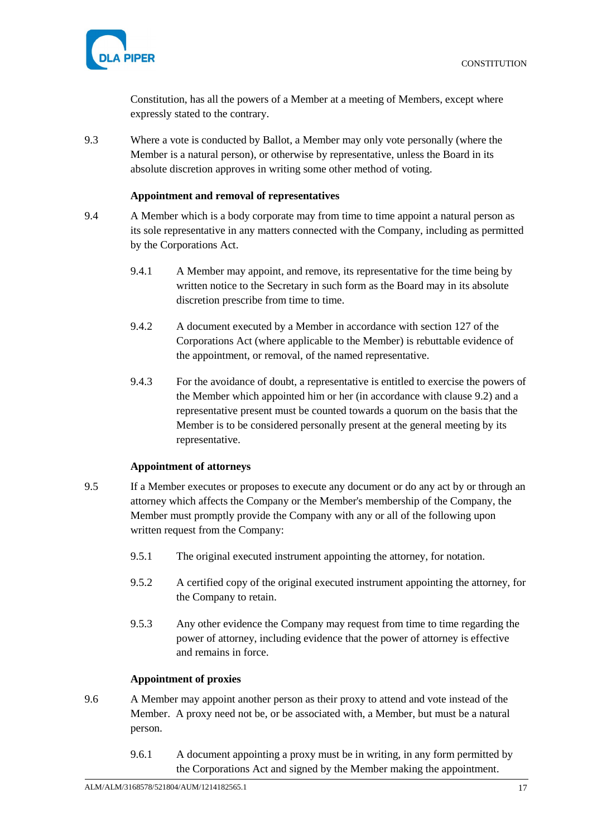

Constitution, has all the powers of a Member at a meeting of Members, except where expressly stated to the contrary.

<span id="page-21-3"></span>9.3 Where a vote is conducted by Ballot, a Member may only vote personally (where the Member is a natural person), or otherwise by representative, unless the Board in its absolute discretion approves in writing some other method of voting.

## **Appointment and removal of representatives**

- <span id="page-21-0"></span>9.4 A Member which is a body corporate may from time to time appoint a natural person as its sole representative in any matters connected with the Company, including as permitted by the Corporations Act.
	- 9.4.1 A Member may appoint, and remove, its representative for the time being by written notice to the Secretary in such form as the Board may in its absolute discretion prescribe from time to time.
	- 9.4.2 A document executed by a Member in accordance with section 127 of the Corporations Act (where applicable to the Member) is rebuttable evidence of the appointment, or removal, of the named representative.
	- 9.4.3 For the avoidance of doubt, a representative is entitled to exercise the powers of the Member which appointed him or her (in accordance with clause [9.2\)](#page-20-3) and a representative present must be counted towards a quorum on the basis that the Member is to be considered personally present at the general meeting by its representative.

### **Appointment of attorneys**

- <span id="page-21-4"></span><span id="page-21-1"></span>9.5 If a Member executes or proposes to execute any document or do any act by or through an attorney which affects the Company or the Member's membership of the Company, the Member must promptly provide the Company with any or all of the following upon written request from the Company:
	- 9.5.1 The original executed instrument appointing the attorney, for notation.
	- 9.5.2 A certified copy of the original executed instrument appointing the attorney, for the Company to retain.
	- 9.5.3 Any other evidence the Company may request from time to time regarding the power of attorney, including evidence that the power of attorney is effective and remains in force.

### **Appointment of proxies**

- <span id="page-21-2"></span>9.6 A Member may appoint another person as their proxy to attend and vote instead of the Member. A proxy need not be, or be associated with, a Member, but must be a natural person.
	- 9.6.1 A document appointing a proxy must be in writing, in any form permitted by the Corporations Act and signed by the Member making the appointment.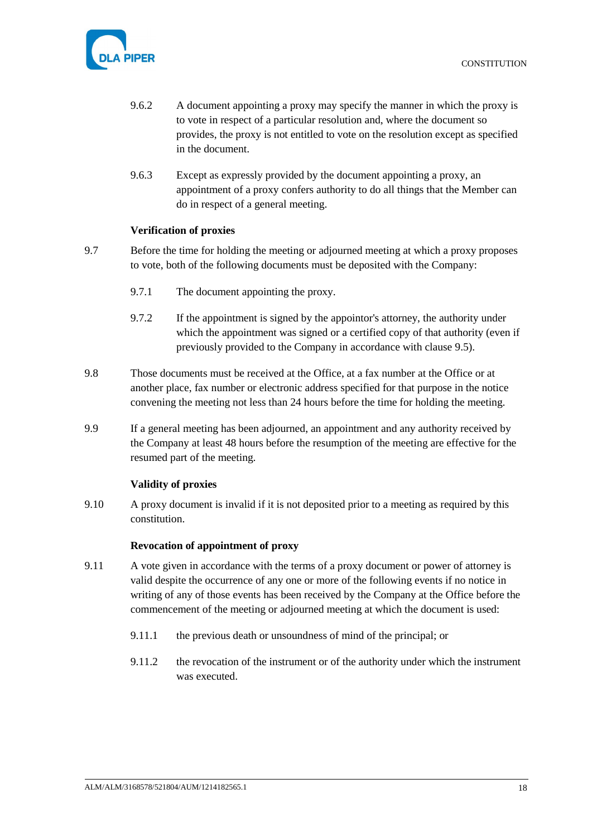

- 9.6.2 A document appointing a proxy may specify the manner in which the proxy is to vote in respect of a particular resolution and, where the document so provides, the proxy is not entitled to vote on the resolution except as specified in the document.
- 9.6.3 Except as expressly provided by the document appointing a proxy, an appointment of a proxy confers authority to do all things that the Member can do in respect of a general meeting.

## **Verification of proxies**

- <span id="page-22-0"></span>9.7 Before the time for holding the meeting or adjourned meeting at which a proxy proposes to vote, both of the following documents must be deposited with the Company:
	- 9.7.1 The document appointing the proxy.
	- 9.7.2 If the appointment is signed by the appointor's attorney, the authority under which the appointment was signed or a certified copy of that authority (even if previously provided to the Company in accordance with clause [9.5\)](#page-21-4).
- 9.8 Those documents must be received at the Office, at a fax number at the Office or at another place, fax number or electronic address specified for that purpose in the notice convening the meeting not less than 24 hours before the time for holding the meeting.
- 9.9 If a general meeting has been adjourned, an appointment and any authority received by the Company at least 48 hours before the resumption of the meeting are effective for the resumed part of the meeting.

# **Validity of proxies**

<span id="page-22-1"></span>9.10 A proxy document is invalid if it is not deposited prior to a meeting as required by this constitution.

### **Revocation of appointment of proxy**

- <span id="page-22-2"></span>9.11 A vote given in accordance with the terms of a proxy document or power of attorney is valid despite the occurrence of any one or more of the following events if no notice in writing of any of those events has been received by the Company at the Office before the commencement of the meeting or adjourned meeting at which the document is used:
	- 9.11.1 the previous death or unsoundness of mind of the principal; or
	- 9.11.2 the revocation of the instrument or of the authority under which the instrument was executed.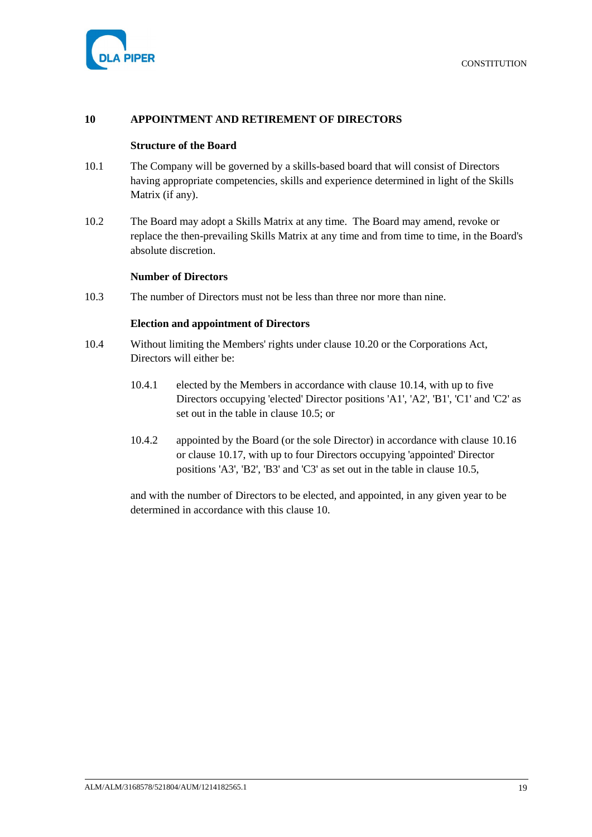

## <span id="page-23-1"></span><span id="page-23-0"></span>**10 APPOINTMENT AND RETIREMENT OF DIRECTORS**

#### **Structure of the Board**

- 10.1 The Company will be governed by a skills-based board that will consist of Directors having appropriate competencies, skills and experience determined in light of the Skills Matrix (if any).
- 10.2 The Board may adopt a Skills Matrix at any time. The Board may amend, revoke or replace the then-prevailing Skills Matrix at any time and from time to time, in the Board's absolute discretion.

#### **Number of Directors**

<span id="page-23-3"></span><span id="page-23-2"></span>10.3 The number of Directors must not be less than three nor more than nine.

### **Election and appointment of Directors**

- 10.4 Without limiting the Members' rights under clause [10.20](#page-30-2) or the Corporations Act, Directors will either be:
	- 10.4.1 elected by the Members in accordance with clause [10.14,](#page-27-2) with up to five Directors occupying 'elected' Director positions 'A1', 'A2', 'B1', 'C1' and 'C2' as set out in the table in clause [10.5;](#page-24-1) or
	- 10.4.2 appointed by the Board (or the sole Director) in accordance with clause [10.16](#page-29-1) or clause [10.17,](#page-30-3) with up to four Directors occupying 'appointed' Director positions 'A3', 'B2', 'B3' and 'C3' as set out in the table in clause [10.5,](#page-24-1)

and with the number of Directors to be elected, and appointed, in any given year to be determined in accordance with this clause [10.](#page-23-0)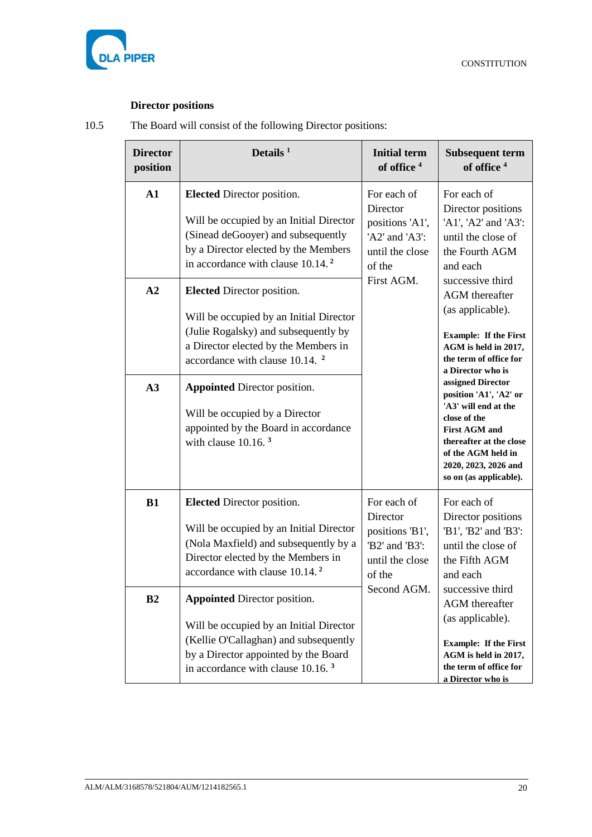

# **Director positions**

<span id="page-24-1"></span><span id="page-24-0"></span>10.5 The Board will consist of the following Director positions:

| <b>Director</b><br>position | Details $1$                                                                                                                                                                                                      | <b>Initial term</b><br>of office <sup>4</sup>                                                            | <b>Subsequent term</b><br>of office <sup>4</sup>                                                                                                                                                               |
|-----------------------------|------------------------------------------------------------------------------------------------------------------------------------------------------------------------------------------------------------------|----------------------------------------------------------------------------------------------------------|----------------------------------------------------------------------------------------------------------------------------------------------------------------------------------------------------------------|
| $\mathbf{A1}$               | <b>Elected</b> Director position.<br>Will be occupied by an Initial Director<br>(Sinead deGooyer) and subsequently<br>by a Director elected by the Members<br>in accordance with clause 10.14. <sup>2</sup>      | For each of<br>Director<br>positions 'A1',<br>'A2' and 'A3':<br>until the close<br>of the<br>First AGM.  | For each of<br>Director positions<br>'A1', 'A2' and 'A3':<br>until the close of<br>the Fourth AGM<br>and each<br>successive third                                                                              |
| A2                          | <b>Elected</b> Director position.<br>Will be occupied by an Initial Director<br>(Julie Rogalsky) and subsequently by<br>a Director elected by the Members in<br>accordance with clause 10.14. <sup>2</sup>       |                                                                                                          | <b>AGM</b> thereafter<br>(as applicable).<br><b>Example: If the First</b><br>AGM is held in 2017,<br>the term of office for<br>a Director who is                                                               |
| A3                          | <b>Appointed Director position.</b><br>Will be occupied by a Director<br>appointed by the Board in accordance<br>with clause $10.16$ . <sup>3</sup>                                                              |                                                                                                          | assigned Director<br>position 'A1', 'A2' or<br>'A3' will end at the<br>close of the<br><b>First AGM and</b><br>thereafter at the close<br>of the AGM held in<br>2020, 2023, 2026 and<br>so on (as applicable). |
| <b>B1</b>                   | <b>Elected</b> Director position.<br>Will be occupied by an Initial Director<br>(Nola Maxfield) and subsequently by a<br>Director elected by the Members in<br>accordance with clause 10.14. <sup>2</sup>        | For each of<br>Director<br>positions 'B1',<br>'B2' and 'B3':<br>until the close<br>of the<br>Second AGM. | For each of<br>Director positions<br>'B1', 'B2' and 'B3':<br>until the close of<br>the Fifth AGM<br>and each                                                                                                   |
| B <sub>2</sub>              | <b>Appointed Director position.</b><br>Will be occupied by an Initial Director<br>(Kellie O'Callaghan) and subsequently<br>by a Director appointed by the Board<br>in accordance with clause 10.16. <sup>3</sup> |                                                                                                          | successive third<br><b>AGM</b> thereafter<br>(as applicable).<br><b>Example: If the First</b><br>AGM is held in 2017,<br>the term of office for<br>a Director who is                                           |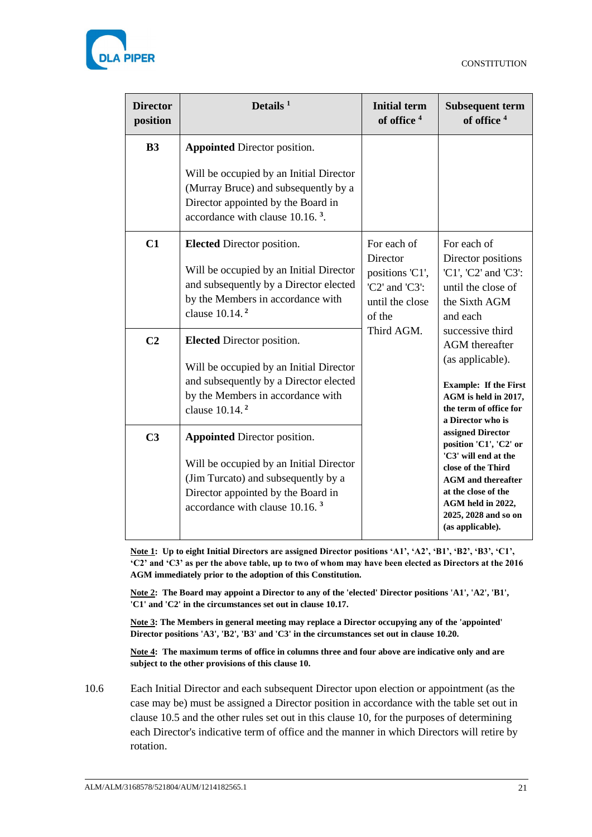

| <b>Director</b><br>position | Details $1$                                                                                                                                                                                               | <b>Initial term</b><br>of office <sup>4</sup>                                             | <b>Subsequent term</b><br>of office <sup>4</sup>                                                                                                                                                               |
|-----------------------------|-----------------------------------------------------------------------------------------------------------------------------------------------------------------------------------------------------------|-------------------------------------------------------------------------------------------|----------------------------------------------------------------------------------------------------------------------------------------------------------------------------------------------------------------|
| B <sub>3</sub>              | <b>Appointed Director position.</b>                                                                                                                                                                       |                                                                                           |                                                                                                                                                                                                                |
|                             | Will be occupied by an Initial Director<br>(Murray Bruce) and subsequently by a<br>Director appointed by the Board in<br>accordance with clause 10.16. <sup>3</sup> .                                     |                                                                                           |                                                                                                                                                                                                                |
| C1                          | <b>Elected Director position.</b><br>Will be occupied by an Initial Director<br>and subsequently by a Director elected<br>by the Members in accordance with<br>clause 10.14. <sup>2</sup>                 | For each of<br>Director<br>positions 'C1',<br>'C2' and 'C3':<br>until the close<br>of the | For each of<br>Director positions<br>'C1', 'C2' and 'C3':<br>until the close of<br>the Sixth AGM<br>and each                                                                                                   |
| C <sub>2</sub>              | <b>Elected</b> Director position.                                                                                                                                                                         | Third AGM.                                                                                | successive third<br><b>AGM</b> thereafter                                                                                                                                                                      |
|                             | Will be occupied by an Initial Director<br>and subsequently by a Director elected<br>by the Members in accordance with<br>clause $10.14$ . <sup>2</sup>                                                   |                                                                                           | (as applicable).<br><b>Example: If the First</b><br>AGM is held in 2017,<br>the term of office for<br>a Director who is                                                                                        |
| C <sub>3</sub>              | <b>Appointed Director position.</b><br>Will be occupied by an Initial Director<br>(Jim Turcato) and subsequently by a<br>Director appointed by the Board in<br>accordance with clause 10.16. <sup>3</sup> |                                                                                           | assigned Director<br>position 'C1', 'C2' or<br>'C3' will end at the<br>close of the Third<br><b>AGM</b> and thereafter<br>at the close of the<br>AGM held in 2022,<br>2025, 2028 and so on<br>(as applicable). |

**Note 1: Up to eight Initial Directors are assigned Director positions 'A1', 'A2', 'B1', 'B2', 'B3', 'C1', 'C2' and 'C3' as per the above table, up to two of whom may have been elected as Directors at the 2016 AGM immediately prior to the adoption of this Constitution.**

**Note 2: The Board may appoint a Director to any of the 'elected' Director positions 'A1', 'A2', 'B1', 'C1' and 'C2' in the circumstances set out in clause [10.17.](#page-30-3)**

**Note 3: The Members in general meeting may replace a Director occupying any of the 'appointed' Director positions 'A3', 'B2', 'B3' and 'C3' in the circumstances set out in clause [10.20.](#page-30-2)**

**Note 4: The maximum terms of office in columns three and four above are indicative only and are subject to the other provisions of this clause [10.](#page-23-0)**

<span id="page-25-0"></span>10.6 Each Initial Director and each subsequent Director upon election or appointment (as the case may be) must be assigned a Director position in accordance with the table set out in clause [10.5](#page-24-1) and the other rules set out in this clause [10,](#page-23-0) for the purposes of determining each Director's indicative term of office and the manner in which Directors will retire by rotation.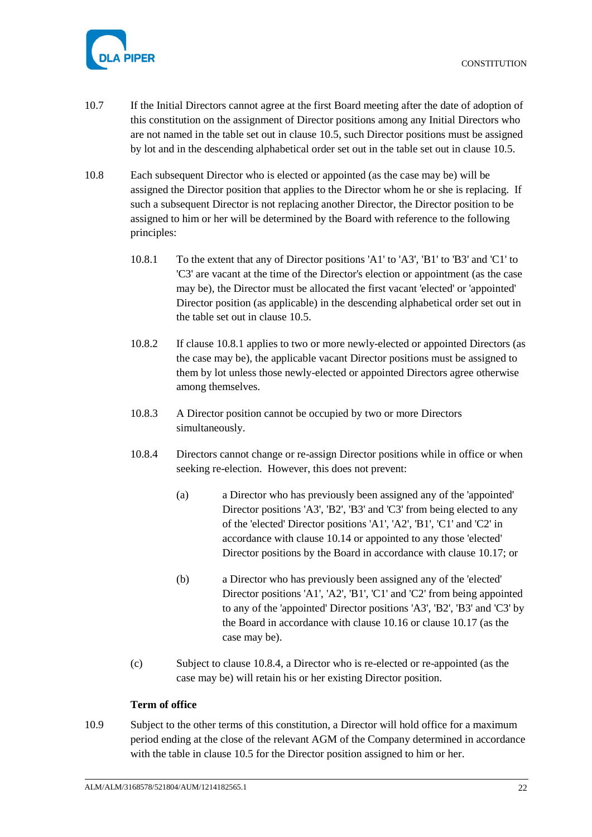

- 10.7 If the Initial Directors cannot agree at the first Board meeting after the date of adoption of this constitution on the assignment of Director positions among any Initial Directors who are not named in the table set out in clause [10.5,](#page-24-1) such Director positions must be assigned by lot and in the descending alphabetical order set out in the table set out in clause [10.5.](#page-24-1)
- <span id="page-26-3"></span><span id="page-26-1"></span>10.8 Each subsequent Director who is elected or appointed (as the case may be) will be assigned the Director position that applies to the Director whom he or she is replacing. If such a subsequent Director is not replacing another Director, the Director position to be assigned to him or her will be determined by the Board with reference to the following principles:
	- 10.8.1 To the extent that any of Director positions 'A1' to 'A3', 'B1' to 'B3' and 'C1' to 'C3' are vacant at the time of the Director's election or appointment (as the case may be), the Director must be allocated the first vacant 'elected' or 'appointed' Director position (as applicable) in the descending alphabetical order set out in the table set out in clause [10.5.](#page-24-1)
	- 10.8.2 If clause [10.8.1](#page-26-1) applies to two or more newly-elected or appointed Directors (as the case may be), the applicable vacant Director positions must be assigned to them by lot unless those newly-elected or appointed Directors agree otherwise among themselves.
	- 10.8.3 A Director position cannot be occupied by two or more Directors simultaneously.
	- 10.8.4 Directors cannot change or re-assign Director positions while in office or when seeking re-election. However, this does not prevent:
		- (a) a Director who has previously been assigned any of the 'appointed' Director positions 'A3', 'B2', 'B3' and 'C3' from being elected to any of the 'elected' Director positions 'A1', 'A2', 'B1', 'C1' and 'C2' in accordance with clause [10.14](#page-27-2) or appointed to any those 'elected' Director positions by the Board in accordance with clause [10.17;](#page-30-3) or
		- (b) a Director who has previously been assigned any of the 'elected' Director positions 'A1', 'A2', 'B1', 'C1' and 'C2' from being appointed to any of the 'appointed' Director positions 'A3', 'B2', 'B3' and 'C3' by the Board in accordance with clause [10.16](#page-29-1) or clause [10.17](#page-30-3) (as the case may be).
	- (c) Subject to clause [10.8.4,](#page-26-2) a Director who is re-elected or re-appointed (as the case may be) will retain his or her existing Director position.

# <span id="page-26-2"></span>**Term of office**

<span id="page-26-0"></span>10.9 Subject to the other terms of this constitution, a Director will hold office for a maximum period ending at the close of the relevant AGM of the Company determined in accordance with the table in clause [10.5](#page-24-1) for the Director position assigned to him or her.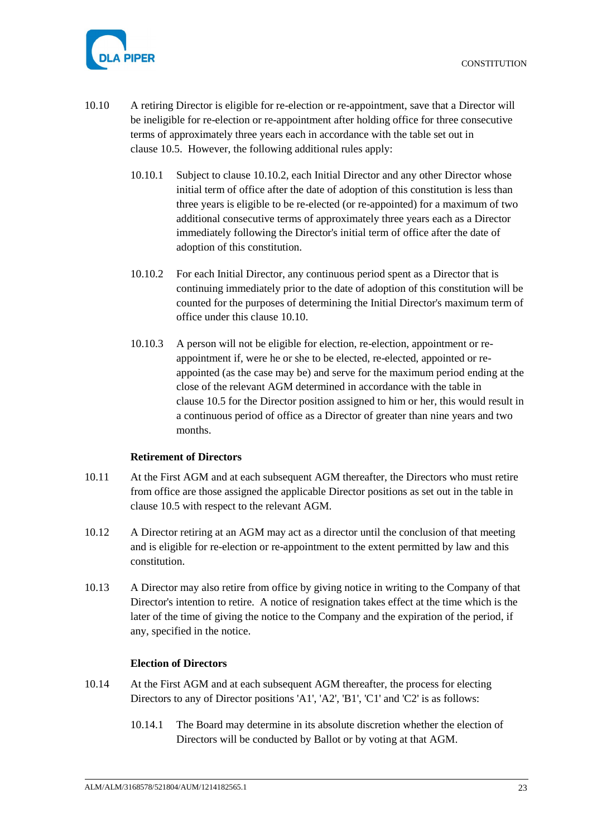

- <span id="page-27-4"></span><span id="page-27-3"></span>10.10 A retiring Director is eligible for re-election or re-appointment, save that a Director will be ineligible for re-election or re-appointment after holding office for three consecutive terms of approximately three years each in accordance with the table set out in clause [10.5.](#page-24-1) However, the following additional rules apply:
	- 10.10.1 Subject to clause [10.10.2,](#page-27-3) each Initial Director and any other Director whose initial term of office after the date of adoption of this constitution is less than three years is eligible to be re-elected (or re-appointed) for a maximum of two additional consecutive terms of approximately three years each as a Director immediately following the Director's initial term of office after the date of adoption of this constitution.
	- 10.10.2 For each Initial Director, any continuous period spent as a Director that is continuing immediately prior to the date of adoption of this constitution will be counted for the purposes of determining the Initial Director's maximum term of office under this clause [10.10.](#page-27-4)
	- 10.10.3 A person will not be eligible for election, re-election, appointment or reappointment if, were he or she to be elected, re-elected, appointed or reappointed (as the case may be) and serve for the maximum period ending at the close of the relevant AGM determined in accordance with the table in clause [10.5](#page-24-1) for the Director position assigned to him or her, this would result in a continuous period of office as a Director of greater than nine years and two months.

### **Retirement of Directors**

- <span id="page-27-0"></span>10.11 At the First AGM and at each subsequent AGM thereafter, the Directors who must retire from office are those assigned the applicable Director positions as set out in the table in clause [10.5](#page-24-1) with respect to the relevant AGM.
- 10.12 A Director retiring at an AGM may act as a director until the conclusion of that meeting and is eligible for re-election or re-appointment to the extent permitted by law and this constitution.
- 10.13 A Director may also retire from office by giving notice in writing to the Company of that Director's intention to retire. A notice of resignation takes effect at the time which is the later of the time of giving the notice to the Company and the expiration of the period, if any, specified in the notice.

#### **Election of Directors**

- <span id="page-27-2"></span><span id="page-27-1"></span>10.14 At the First AGM and at each subsequent AGM thereafter, the process for electing Directors to any of Director positions 'A1', 'A2', 'B1', 'C1' and 'C2' is as follows:
	- 10.14.1 The Board may determine in its absolute discretion whether the election of Directors will be conducted by Ballot or by voting at that AGM.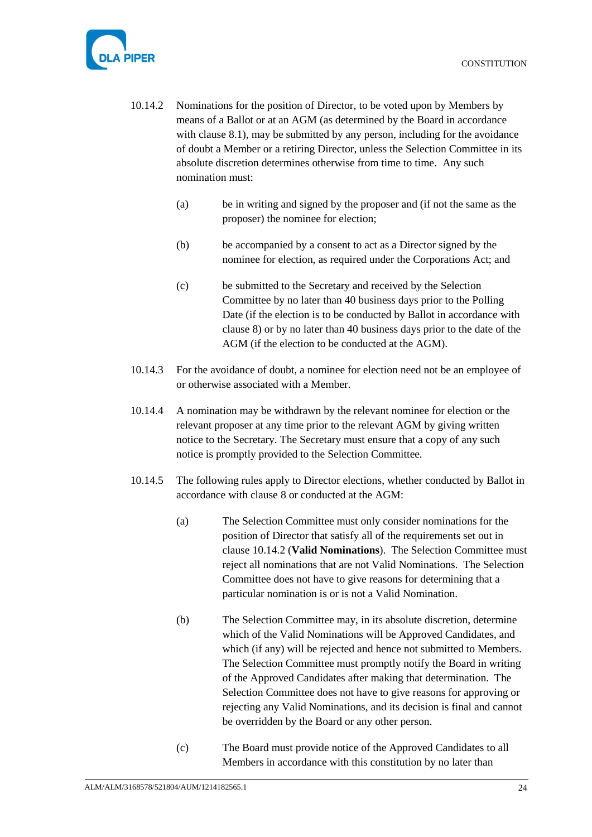

- <span id="page-28-0"></span>10.14.2 Nominations for the position of Director, to be voted upon by Members by means of a Ballot or at an AGM (as determined by the Board in accordance with clause [8.1\)](#page-18-4), may be submitted by any person, including for the avoidance of doubt a Member or a retiring Director, unless the Selection Committee in its absolute discretion determines otherwise from time to time. Any such nomination must:
	- (a) be in writing and signed by the proposer and (if not the same as the proposer) the nominee for election;
	- (b) be accompanied by a consent to act as a Director signed by the nominee for election, as required under the Corporations Act; and
	- (c) be submitted to the Secretary and received by the Selection Committee by no later than 40 business days prior to the Polling Date (if the election is to be conducted by Ballot in accordance with clause [8\)](#page-18-1) or by no later than 40 business days prior to the date of the AGM (if the election to be conducted at the AGM).
- <span id="page-28-1"></span>10.14.3 For the avoidance of doubt, a nominee for election need not be an employee of or otherwise associated with a Member.
- 10.14.4 A nomination may be withdrawn by the relevant nominee for election or the relevant proposer at any time prior to the relevant AGM by giving written notice to the Secretary. The Secretary must ensure that a copy of any such notice is promptly provided to the Selection Committee.
- <span id="page-28-4"></span><span id="page-28-3"></span><span id="page-28-2"></span>10.14.5 The following rules apply to Director elections, whether conducted by Ballot in accordance with clause [8](#page-18-1) or conducted at the AGM:
	- (a) The Selection Committee must only consider nominations for the position of Director that satisfy all of the requirements set out in clause [10.14.2](#page-28-0) (**Valid Nominations**). The Selection Committee must reject all nominations that are not Valid Nominations. The Selection Committee does not have to give reasons for determining that a particular nomination is or is not a Valid Nomination.
	- (b) The Selection Committee may, in its absolute discretion, determine which of the Valid Nominations will be Approved Candidates, and which (if any) will be rejected and hence not submitted to Members. The Selection Committee must promptly notify the Board in writing of the Approved Candidates after making that determination. The Selection Committee does not have to give reasons for approving or rejecting any Valid Nominations, and its decision is final and cannot be overridden by the Board or any other person.
	- (c) The Board must provide notice of the Approved Candidates to all Members in accordance with this constitution by no later than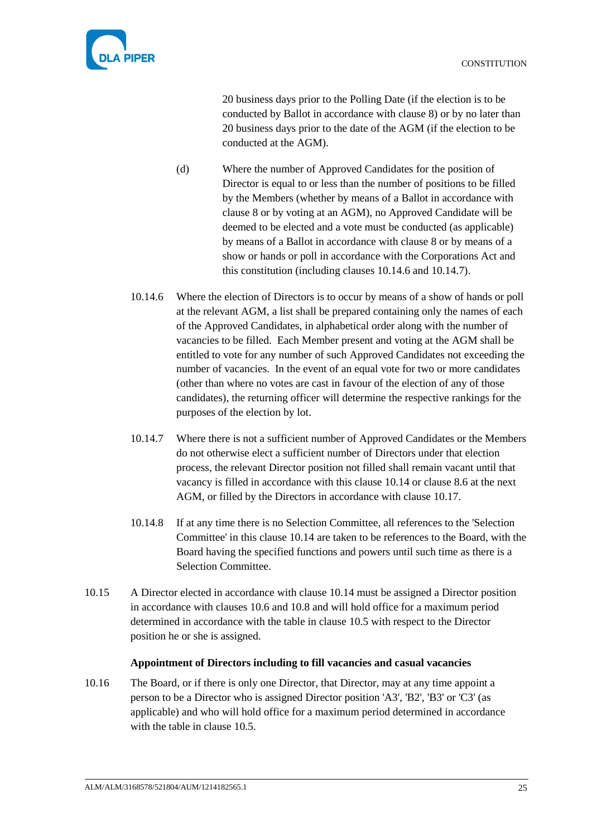



20 business days prior to the Polling Date (if the election is to be conducted by Ballot in accordance with clause [8\)](#page-18-1) or by no later than 20 business days prior to the date of the AGM (if the election to be conducted at the AGM).

- (d) Where the number of Approved Candidates for the position of Director is equal to or less than the number of positions to be filled by the Members (whether by means of a Ballot in accordance with clause [8](#page-18-1) or by voting at an AGM), no Approved Candidate will be deemed to be elected and a vote must be conducted (as applicable) by means of a Ballot in accordance with clause [8](#page-18-1) or by means of a show or hands or poll in accordance with the Corporations Act and this constitution (including clauses [10.14.6](#page-29-2) and [10.14.7\)](#page-29-3).
- <span id="page-29-2"></span>10.14.6 Where the election of Directors is to occur by means of a show of hands or poll at the relevant AGM, a list shall be prepared containing only the names of each of the Approved Candidates, in alphabetical order along with the number of vacancies to be filled. Each Member present and voting at the AGM shall be entitled to vote for any number of such Approved Candidates not exceeding the number of vacancies. In the event of an equal vote for two or more candidates (other than where no votes are cast in favour of the election of any of those candidates), the returning officer will determine the respective rankings for the purposes of the election by lot.
- <span id="page-29-3"></span>10.14.7 Where there is not a sufficient number of Approved Candidates or the Members do not otherwise elect a sufficient number of Directors under that election process, the relevant Director position not filled shall remain vacant until that vacancy is filled in accordance with this clause [10.14](#page-27-2) or clause [8.6](#page-19-1) at the next AGM, or filled by the Directors in accordance with clause [10.17.](#page-30-3)
- 10.14.8 If at any time there is no Selection Committee, all references to the 'Selection Committee' in this clause [10.14](#page-27-2) are taken to be references to the Board, with the Board having the specified functions and powers until such time as there is a Selection Committee.
- 10.15 A Director elected in accordance with clause [10.14](#page-27-2) must be assigned a Director position in accordance with clauses [10.6](#page-25-0) and [10.8](#page-26-3) and will hold office for a maximum period determined in accordance with the table in clause [10.5](#page-24-1) with respect to the Director position he or she is assigned.

### **Appointment of Directors including to fill vacancies and casual vacancies**

<span id="page-29-1"></span><span id="page-29-0"></span>10.16 The Board, or if there is only one Director, that Director, may at any time appoint a person to be a Director who is assigned Director position 'A3', 'B2', 'B3' or 'C3' (as applicable) and who will hold office for a maximum period determined in accordance with the table in clause [10.5.](#page-24-1)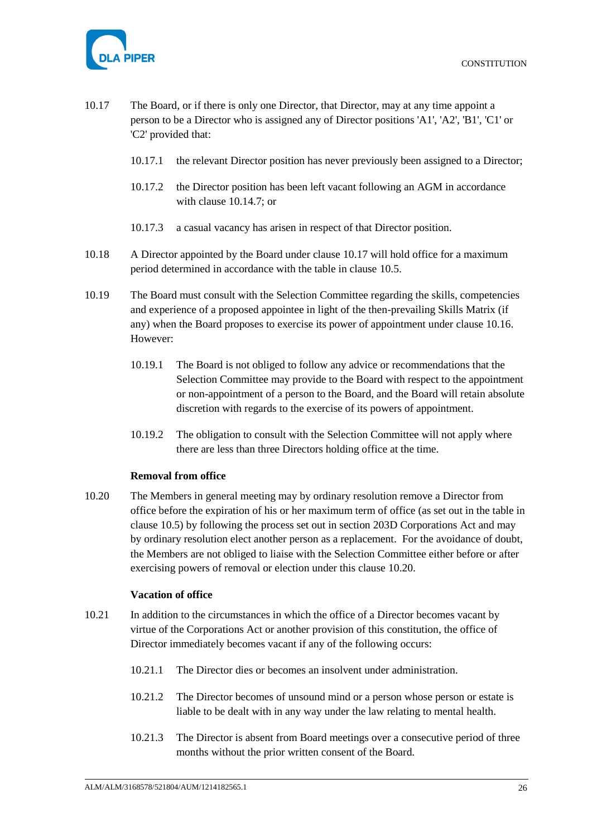

- <span id="page-30-3"></span>10.17 The Board, or if there is only one Director, that Director, may at any time appoint a person to be a Director who is assigned any of Director positions 'A1', 'A2', 'B1', 'C1' or 'C2' provided that:
	- 10.17.1 the relevant Director position has never previously been assigned to a Director;
	- 10.17.2 the Director position has been left vacant following an AGM in accordance with clause [10.14.7;](#page-29-3) or
	- 10.17.3 a casual vacancy has arisen in respect of that Director position.
- 10.18 A Director appointed by the Board under clause [10.17](#page-30-3) will hold office for a maximum period determined in accordance with the table in clause [10.5.](#page-24-1)
- 10.19 The Board must consult with the Selection Committee regarding the skills, competencies and experience of a proposed appointee in light of the then-prevailing Skills Matrix (if any) when the Board proposes to exercise its power of appointment under clause [10.16.](#page-29-1) However:
	- 10.19.1 The Board is not obliged to follow any advice or recommendations that the Selection Committee may provide to the Board with respect to the appointment or non-appointment of a person to the Board, and the Board will retain absolute discretion with regards to the exercise of its powers of appointment.
	- 10.19.2 The obligation to consult with the Selection Committee will not apply where there are less than three Directors holding office at the time.

### **Removal from office**

<span id="page-30-2"></span><span id="page-30-0"></span>10.20 The Members in general meeting may by ordinary resolution remove a Director from office before the expiration of his or her maximum term of office (as set out in the table in clause [10.5\)](#page-24-1) by following the process set out in section 203D Corporations Act and may by ordinary resolution elect another person as a replacement. For the avoidance of doubt, the Members are not obliged to liaise with the Selection Committee either before or after exercising powers of removal or election under this clause [10.20.](#page-30-2)

### **Vacation of office**

- <span id="page-30-1"></span>10.21 In addition to the circumstances in which the office of a Director becomes vacant by virtue of the Corporations Act or another provision of this constitution, the office of Director immediately becomes vacant if any of the following occurs:
	- 10.21.1 The Director dies or becomes an insolvent under administration.
	- 10.21.2 The Director becomes of unsound mind or a person whose person or estate is liable to be dealt with in any way under the law relating to mental health.
	- 10.21.3 The Director is absent from Board meetings over a consecutive period of three months without the prior written consent of the Board.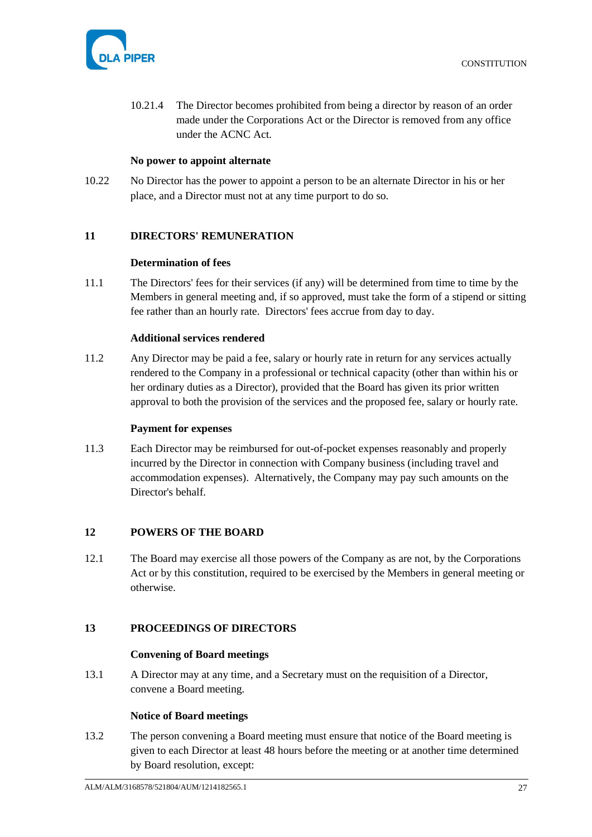

10.21.4 The Director becomes prohibited from being a director by reason of an order made under the Corporations Act or the Director is removed from any office under the ACNC Act.

### **No power to appoint alternate**

<span id="page-31-0"></span>10.22 No Director has the power to appoint a person to be an alternate Director in his or her place, and a Director must not at any time purport to do so.

### <span id="page-31-2"></span><span id="page-31-1"></span>**11 DIRECTORS' REMUNERATION**

#### **Determination of fees**

<span id="page-31-9"></span>11.1 The Directors' fees for their services (if any) will be determined from time to time by the Members in general meeting and, if so approved, must take the form of a stipend or sitting fee rather than an hourly rate. Directors' fees accrue from day to day.

### **Additional services rendered**

<span id="page-31-10"></span><span id="page-31-3"></span>11.2 Any Director may be paid a fee, salary or hourly rate in return for any services actually rendered to the Company in a professional or technical capacity (other than within his or her ordinary duties as a Director), provided that the Board has given its prior written approval to both the provision of the services and the proposed fee, salary or hourly rate.

#### **Payment for expenses**

<span id="page-31-4"></span>11.3 Each Director may be reimbursed for out-of-pocket expenses reasonably and properly incurred by the Director in connection with Company business (including travel and accommodation expenses). Alternatively, the Company may pay such amounts on the Director's behalf.

### <span id="page-31-5"></span>**12 POWERS OF THE BOARD**

12.1 The Board may exercise all those powers of the Company as are not, by the Corporations Act or by this constitution, required to be exercised by the Members in general meeting or otherwise.

#### <span id="page-31-7"></span><span id="page-31-6"></span>**13 PROCEEDINGS OF DIRECTORS**

#### **Convening of Board meetings**

13.1 A Director may at any time, and a Secretary must on the requisition of a Director, convene a Board meeting.

#### **Notice of Board meetings**

<span id="page-31-8"></span>13.2 The person convening a Board meeting must ensure that notice of the Board meeting is given to each Director at least 48 hours before the meeting or at another time determined by Board resolution, except: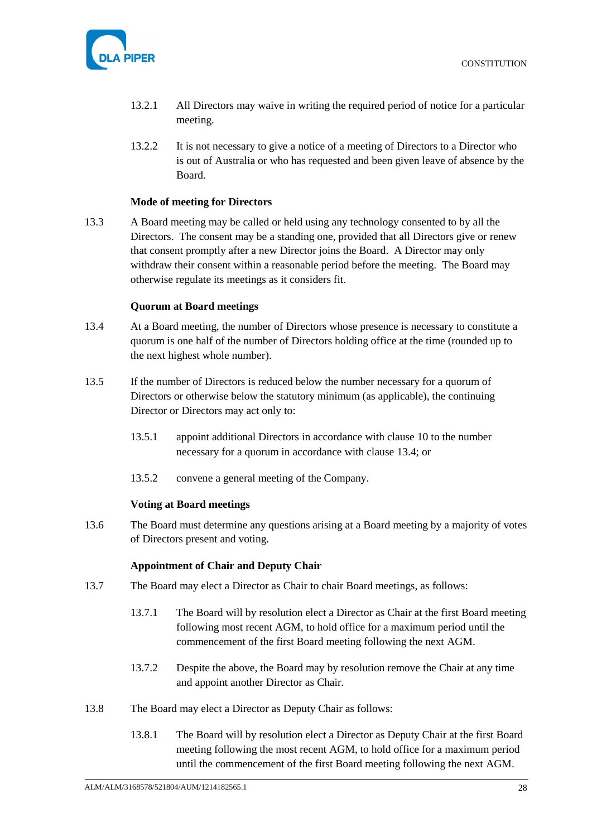

- 13.2.1 All Directors may waive in writing the required period of notice for a particular meeting.
- 13.2.2 It is not necessary to give a notice of a meeting of Directors to a Director who is out of Australia or who has requested and been given leave of absence by the Board.

### **Mode of meeting for Directors**

<span id="page-32-0"></span>13.3 A Board meeting may be called or held using any technology consented to by all the Directors. The consent may be a standing one, provided that all Directors give or renew that consent promptly after a new Director joins the Board. A Director may only withdraw their consent within a reasonable period before the meeting. The Board may otherwise regulate its meetings as it considers fit.

#### **Quorum at Board meetings**

- <span id="page-32-6"></span><span id="page-32-1"></span>13.4 At a Board meeting, the number of Directors whose presence is necessary to constitute a quorum is one half of the number of Directors holding office at the time (rounded up to the next highest whole number).
- 13.5 If the number of Directors is reduced below the number necessary for a quorum of Directors or otherwise below the statutory minimum (as applicable), the continuing Director or Directors may act only to:
	- 13.5.1 appoint additional Directors in accordance with clause [10](#page-23-0) to the number necessary for a quorum in accordance with clause [13.4;](#page-32-6) or
	- 13.5.2 convene a general meeting of the Company.

#### **Voting at Board meetings**

<span id="page-32-2"></span>13.6 The Board must determine any questions arising at a Board meeting by a majority of votes of Directors present and voting.

#### **Appointment of Chair and Deputy Chair**

- <span id="page-32-4"></span><span id="page-32-3"></span>13.7 The Board may elect a Director as Chair to chair Board meetings, as follows:
	- 13.7.1 The Board will by resolution elect a Director as Chair at the first Board meeting following most recent AGM, to hold office for a maximum period until the commencement of the first Board meeting following the next AGM.
	- 13.7.2 Despite the above, the Board may by resolution remove the Chair at any time and appoint another Director as Chair.
- <span id="page-32-5"></span>13.8 The Board may elect a Director as Deputy Chair as follows:
	- 13.8.1 The Board will by resolution elect a Director as Deputy Chair at the first Board meeting following the most recent AGM, to hold office for a maximum period until the commencement of the first Board meeting following the next AGM.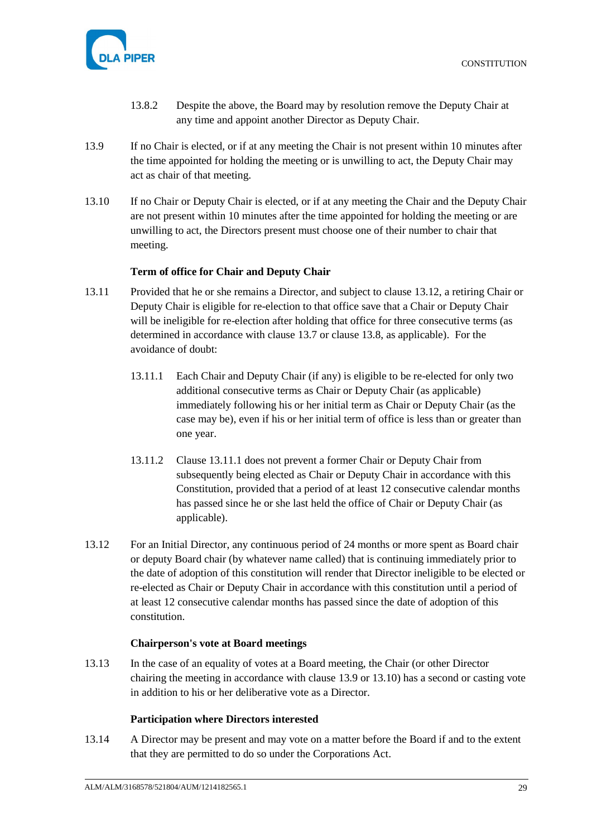

- 13.8.2 Despite the above, the Board may by resolution remove the Deputy Chair at any time and appoint another Director as Deputy Chair.
- <span id="page-33-5"></span>13.9 If no Chair is elected, or if at any meeting the Chair is not present within 10 minutes after the time appointed for holding the meeting or is unwilling to act, the Deputy Chair may act as chair of that meeting.
- <span id="page-33-6"></span>13.10 If no Chair or Deputy Chair is elected, or if at any meeting the Chair and the Deputy Chair are not present within 10 minutes after the time appointed for holding the meeting or are unwilling to act, the Directors present must choose one of their number to chair that meeting.

### **Term of office for Chair and Deputy Chair**

- <span id="page-33-4"></span><span id="page-33-0"></span>13.11 Provided that he or she remains a Director, and subject to clause [13.12,](#page-33-3) a retiring Chair or Deputy Chair is eligible for re-election to that office save that a Chair or Deputy Chair will be ineligible for re-election after holding that office for three consecutive terms (as determined in accordance with clause [13.7](#page-32-4) or clause [13.8,](#page-32-5) as applicable). For the avoidance of doubt:
	- 13.11.1 Each Chair and Deputy Chair (if any) is eligible to be re-elected for only two additional consecutive terms as Chair or Deputy Chair (as applicable) immediately following his or her initial term as Chair or Deputy Chair (as the case may be), even if his or her initial term of office is less than or greater than one year.
	- 13.11.2 Clause [13.11.1](#page-33-4) does not prevent a former Chair or Deputy Chair from subsequently being elected as Chair or Deputy Chair in accordance with this Constitution, provided that a period of at least 12 consecutive calendar months has passed since he or she last held the office of Chair or Deputy Chair (as applicable).
- <span id="page-33-3"></span>13.12 For an Initial Director, any continuous period of 24 months or more spent as Board chair or deputy Board chair (by whatever name called) that is continuing immediately prior to the date of adoption of this constitution will render that Director ineligible to be elected or re-elected as Chair or Deputy Chair in accordance with this constitution until a period of at least 12 consecutive calendar months has passed since the date of adoption of this constitution.

### **Chairperson's vote at Board meetings**

<span id="page-33-1"></span>13.13 In the case of an equality of votes at a Board meeting, the Chair (or other Director chairing the meeting in accordance with clause [13.9](#page-33-5) or [13.10\)](#page-33-6) has a second or casting vote in addition to his or her deliberative vote as a Director.

### **Participation where Directors interested**

<span id="page-33-2"></span>13.14 A Director may be present and may vote on a matter before the Board if and to the extent that they are permitted to do so under the Corporations Act.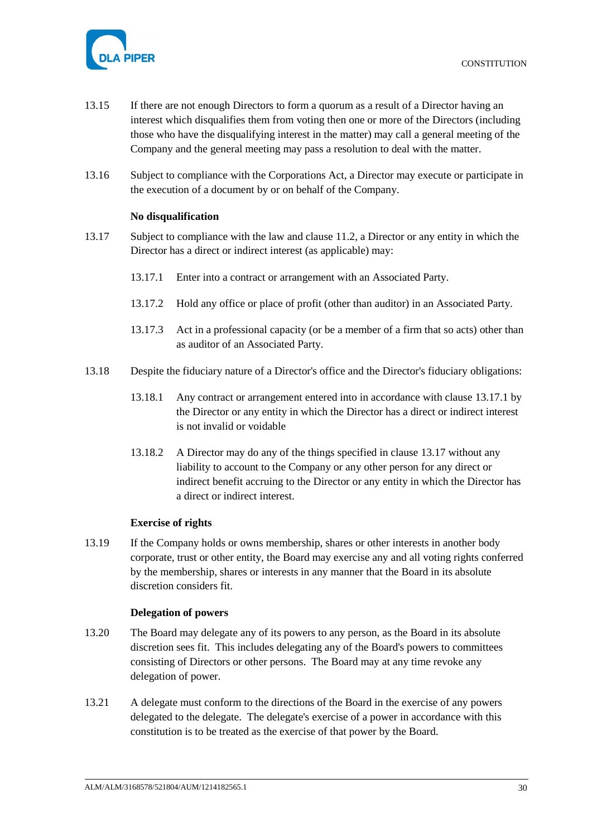

- 13.15 If there are not enough Directors to form a quorum as a result of a Director having an interest which disqualifies them from voting then one or more of the Directors (including those who have the disqualifying interest in the matter) may call a general meeting of the Company and the general meeting may pass a resolution to deal with the matter.
- 13.16 Subject to compliance with the Corporations Act, a Director may execute or participate in the execution of a document by or on behalf of the Company.

### **No disqualification**

- <span id="page-34-4"></span><span id="page-34-3"></span><span id="page-34-0"></span>13.17 Subject to compliance with the law and clause [11.2,](#page-31-10) a Director or any entity in which the Director has a direct or indirect interest (as applicable) may:
	- 13.17.1 Enter into a contract or arrangement with an Associated Party.
	- 13.17.2 Hold any office or place of profit (other than auditor) in an Associated Party.
	- 13.17.3 Act in a professional capacity (or be a member of a firm that so acts) other than as auditor of an Associated Party.
- 13.18 Despite the fiduciary nature of a Director's office and the Director's fiduciary obligations:
	- 13.18.1 Any contract or arrangement entered into in accordance with clause [13.17.1](#page-34-3) by the Director or any entity in which the Director has a direct or indirect interest is not invalid or voidable
	- 13.18.2 A Director may do any of the things specified in clause [13.17](#page-34-4) without any liability to account to the Company or any other person for any direct or indirect benefit accruing to the Director or any entity in which the Director has a direct or indirect interest.

### **Exercise of rights**

<span id="page-34-1"></span>13.19 If the Company holds or owns membership, shares or other interests in another body corporate, trust or other entity, the Board may exercise any and all voting rights conferred by the membership, shares or interests in any manner that the Board in its absolute discretion considers fit.

### **Delegation of powers**

- <span id="page-34-5"></span><span id="page-34-2"></span>13.20 The Board may delegate any of its powers to any person, as the Board in its absolute discretion sees fit. This includes delegating any of the Board's powers to committees consisting of Directors or other persons. The Board may at any time revoke any delegation of power.
- 13.21 A delegate must conform to the directions of the Board in the exercise of any powers delegated to the delegate. The delegate's exercise of a power in accordance with this constitution is to be treated as the exercise of that power by the Board.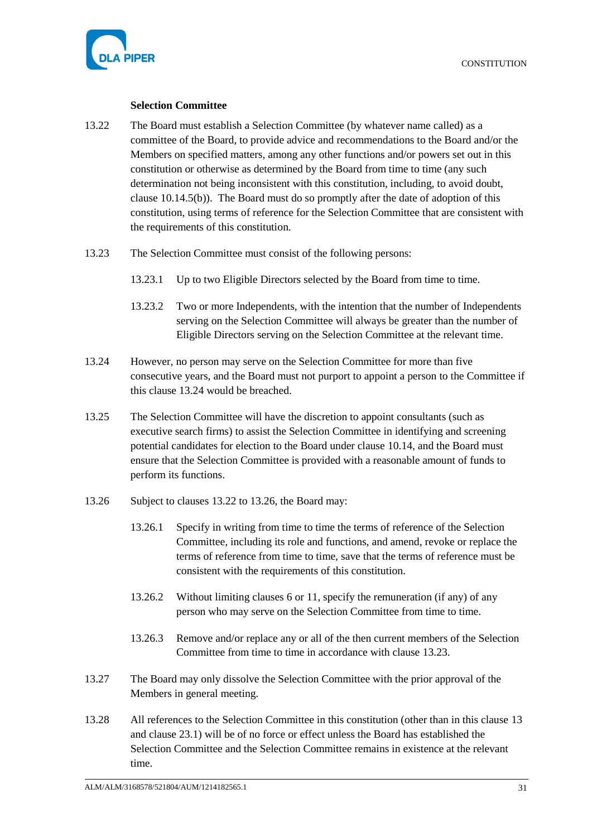

#### **Selection Committee**

- <span id="page-35-2"></span><span id="page-35-0"></span>13.22 The Board must establish a Selection Committee (by whatever name called) as a committee of the Board, to provide advice and recommendations to the Board and/or the Members on specified matters, among any other functions and/or powers set out in this constitution or otherwise as determined by the Board from time to time (any such determination not being inconsistent with this constitution, including, to avoid doubt, clause [10.14.5\(b\)\)](#page-28-3). The Board must do so promptly after the date of adoption of this constitution, using terms of reference for the Selection Committee that are consistent with the requirements of this constitution.
- <span id="page-35-4"></span>13.23 The Selection Committee must consist of the following persons:
	- 13.23.1 Up to two Eligible Directors selected by the Board from time to time.
	- 13.23.2 Two or more Independents, with the intention that the number of Independents serving on the Selection Committee will always be greater than the number of Eligible Directors serving on the Selection Committee at the relevant time.
- <span id="page-35-1"></span>13.24 However, no person may serve on the Selection Committee for more than five consecutive years, and the Board must not purport to appoint a person to the Committee if this clause [13.24](#page-35-1) would be breached.
- 13.25 The Selection Committee will have the discretion to appoint consultants (such as executive search firms) to assist the Selection Committee in identifying and screening potential candidates for election to the Board under clause [10.14,](#page-27-2) and the Board must ensure that the Selection Committee is provided with a reasonable amount of funds to perform its functions.
- <span id="page-35-3"></span>13.26 Subject to clauses [13.22](#page-35-2) t[o 13.26,](#page-35-3) the Board may:
	- 13.26.1 Specify in writing from time to time the terms of reference of the Selection Committee, including its role and functions, and amend, revoke or replace the terms of reference from time to time, save that the terms of reference must be consistent with the requirements of this constitution.
	- 13.26.2 Without limiting clauses [6](#page-12-1) or [11,](#page-31-1) specify the remuneration (if any) of any person who may serve on the Selection Committee from time to time.
	- 13.26.3 Remove and/or replace any or all of the then current members of the Selection Committee from time to time in accordance with clause [13.23.](#page-35-4)
- 13.27 The Board may only dissolve the Selection Committee with the prior approval of the Members in general meeting.
- 13.28 All references to the Selection Committee in this constitution (other than in this clause [13](#page-31-6) and clause [23.1\)](#page-44-4) will be of no force or effect unless the Board has established the Selection Committee and the Selection Committee remains in existence at the relevant time.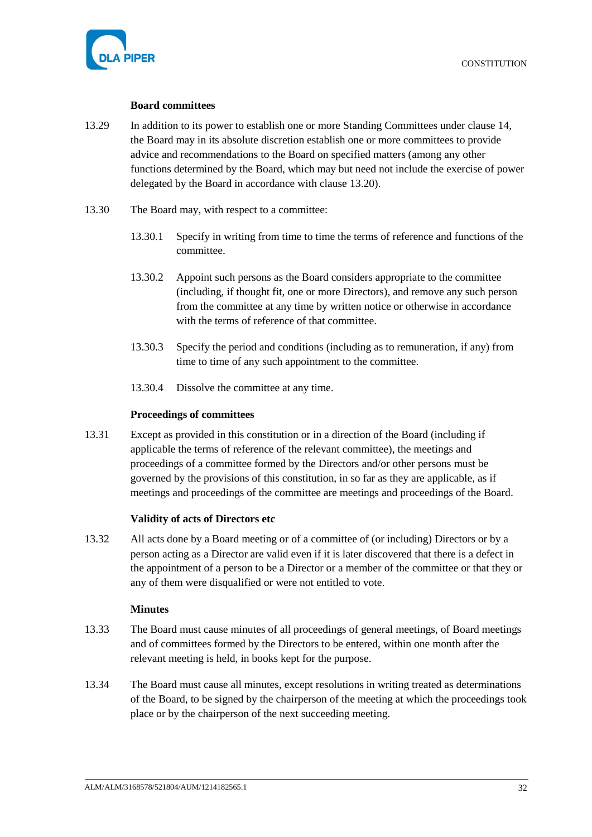

### **Board committees**

- <span id="page-36-0"></span>13.29 In addition to its power to establish one or more Standing Committees under clause [14,](#page-37-1) the Board may in its absolute discretion establish one or more committees to provide advice and recommendations to the Board on specified matters (among any other functions determined by the Board, which may but need not include the exercise of power delegated by the Board in accordance with clause [13.20\)](#page-34-5).
- 13.30 The Board may, with respect to a committee:
	- 13.30.1 Specify in writing from time to time the terms of reference and functions of the committee.
	- 13.30.2 Appoint such persons as the Board considers appropriate to the committee (including, if thought fit, one or more Directors), and remove any such person from the committee at any time by written notice or otherwise in accordance with the terms of reference of that committee.
	- 13.30.3 Specify the period and conditions (including as to remuneration, if any) from time to time of any such appointment to the committee.
	- 13.30.4 Dissolve the committee at any time.

### **Proceedings of committees**

<span id="page-36-1"></span>13.31 Except as provided in this constitution or in a direction of the Board (including if applicable the terms of reference of the relevant committee), the meetings and proceedings of a committee formed by the Directors and/or other persons must be governed by the provisions of this constitution, in so far as they are applicable, as if meetings and proceedings of the committee are meetings and proceedings of the Board.

### **Validity of acts of Directors etc**

<span id="page-36-2"></span>13.32 All acts done by a Board meeting or of a committee of (or including) Directors or by a person acting as a Director are valid even if it is later discovered that there is a defect in the appointment of a person to be a Director or a member of the committee or that they or any of them were disqualified or were not entitled to vote.

#### **Minutes**

- <span id="page-36-3"></span>13.33 The Board must cause minutes of all proceedings of general meetings, of Board meetings and of committees formed by the Directors to be entered, within one month after the relevant meeting is held, in books kept for the purpose.
- 13.34 The Board must cause all minutes, except resolutions in writing treated as determinations of the Board, to be signed by the chairperson of the meeting at which the proceedings took place or by the chairperson of the next succeeding meeting.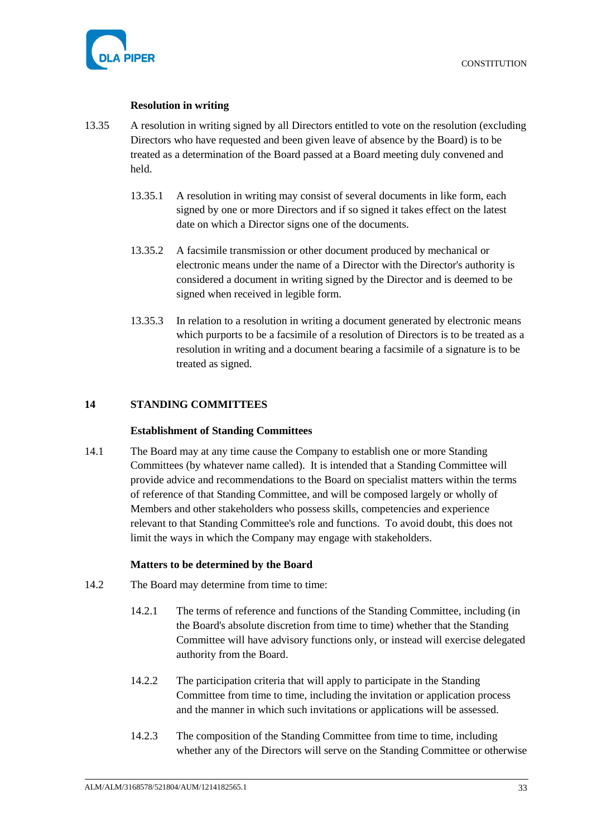

### **Resolution in writing**

- <span id="page-37-0"></span>13.35 A resolution in writing signed by all Directors entitled to vote on the resolution (excluding Directors who have requested and been given leave of absence by the Board) is to be treated as a determination of the Board passed at a Board meeting duly convened and held.
	- 13.35.1 A resolution in writing may consist of several documents in like form, each signed by one or more Directors and if so signed it takes effect on the latest date on which a Director signs one of the documents.
	- 13.35.2 A facsimile transmission or other document produced by mechanical or electronic means under the name of a Director with the Director's authority is considered a document in writing signed by the Director and is deemed to be signed when received in legible form.
	- 13.35.3 In relation to a resolution in writing a document generated by electronic means which purports to be a facsimile of a resolution of Directors is to be treated as a resolution in writing and a document bearing a facsimile of a signature is to be treated as signed.

# <span id="page-37-2"></span><span id="page-37-1"></span>**14 STANDING COMMITTEES**

### **Establishment of Standing Committees**

<span id="page-37-5"></span>14.1 The Board may at any time cause the Company to establish one or more Standing Committees (by whatever name called). It is intended that a Standing Committee will provide advice and recommendations to the Board on specialist matters within the terms of reference of that Standing Committee, and will be composed largely or wholly of Members and other stakeholders who possess skills, competencies and experience relevant to that Standing Committee's role and functions. To avoid doubt, this does not limit the ways in which the Company may engage with stakeholders.

### **Matters to be determined by the Board**

- <span id="page-37-4"></span><span id="page-37-3"></span>14.2 The Board may determine from time to time:
	- 14.2.1 The terms of reference and functions of the Standing Committee, including (in the Board's absolute discretion from time to time) whether that the Standing Committee will have advisory functions only, or instead will exercise delegated authority from the Board.
	- 14.2.2 The participation criteria that will apply to participate in the Standing Committee from time to time, including the invitation or application process and the manner in which such invitations or applications will be assessed.
	- 14.2.3 The composition of the Standing Committee from time to time, including whether any of the Directors will serve on the Standing Committee or otherwise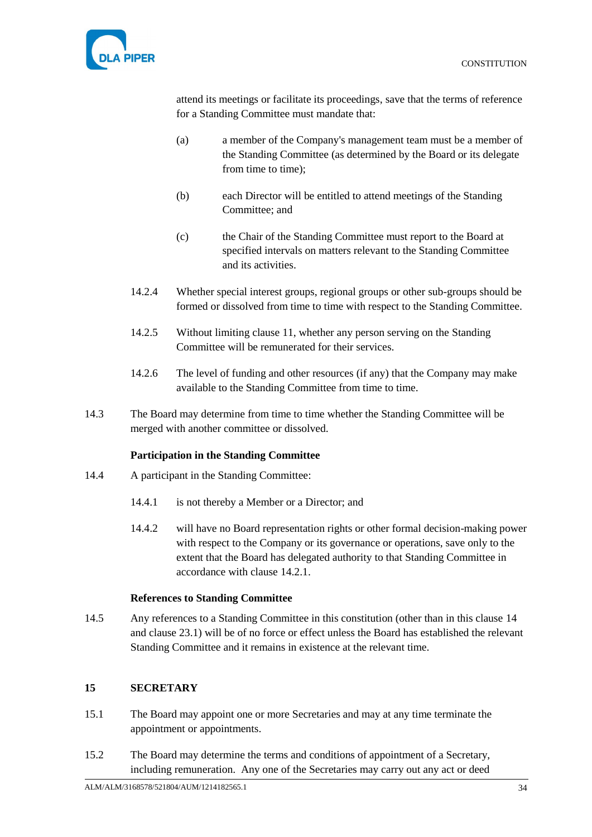

attend its meetings or facilitate its proceedings, save that the terms of reference for a Standing Committee must mandate that:

- (a) a member of the Company's management team must be a member of the Standing Committee (as determined by the Board or its delegate from time to time);
- (b) each Director will be entitled to attend meetings of the Standing Committee; and
- (c) the Chair of the Standing Committee must report to the Board at specified intervals on matters relevant to the Standing Committee and its activities.
- 14.2.4 Whether special interest groups, regional groups or other sub-groups should be formed or dissolved from time to time with respect to the Standing Committee.
- 14.2.5 Without limiting clause [11,](#page-31-1) whether any person serving on the Standing Committee will be remunerated for their services.
- 14.2.6 The level of funding and other resources (if any) that the Company may make available to the Standing Committee from time to time.
- 14.3 The Board may determine from time to time whether the Standing Committee will be merged with another committee or dissolved.

### **Participation in the Standing Committee**

- <span id="page-38-0"></span>14.4 A participant in the Standing Committee:
	- 14.4.1 is not thereby a Member or a Director; and
	- 14.4.2 will have no Board representation rights or other formal decision-making power with respect to the Company or its governance or operations, save only to the extent that the Board has delegated authority to that Standing Committee in accordance with clause [14.2.1.](#page-37-4)

### **References to Standing Committee**

<span id="page-38-1"></span>14.5 Any references to a Standing Committee in this constitution (other than in this clause [14](#page-37-1) and clause [23.1\)](#page-44-4) will be of no force or effect unless the Board has established the relevant Standing Committee and it remains in existence at the relevant time.

## <span id="page-38-2"></span>**15 SECRETARY**

- 15.1 The Board may appoint one or more Secretaries and may at any time terminate the appointment or appointments.
- 15.2 The Board may determine the terms and conditions of appointment of a Secretary, including remuneration. Any one of the Secretaries may carry out any act or deed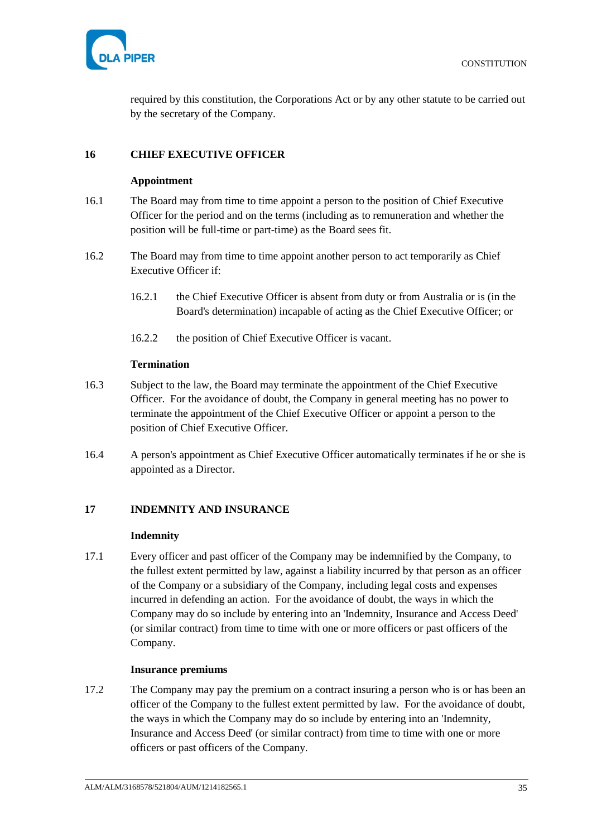

required by this constitution, the Corporations Act or by any other statute to be carried out by the secretary of the Company.

## <span id="page-39-1"></span><span id="page-39-0"></span>**16 CHIEF EXECUTIVE OFFICER**

### **Appointment**

- 16.1 The Board may from time to time appoint a person to the position of Chief Executive Officer for the period and on the terms (including as to remuneration and whether the position will be full-time or part-time) as the Board sees fit.
- 16.2 The Board may from time to time appoint another person to act temporarily as Chief Executive Officer if:
	- 16.2.1 the Chief Executive Officer is absent from duty or from Australia or is (in the Board's determination) incapable of acting as the Chief Executive Officer; or
	- 16.2.2 the position of Chief Executive Officer is vacant.

### **Termination**

- <span id="page-39-2"></span>16.3 Subject to the law, the Board may terminate the appointment of the Chief Executive Officer. For the avoidance of doubt, the Company in general meeting has no power to terminate the appointment of the Chief Executive Officer or appoint a person to the position of Chief Executive Officer.
- 16.4 A person's appointment as Chief Executive Officer automatically terminates if he or she is appointed as a Director.

# <span id="page-39-4"></span><span id="page-39-3"></span>**17 INDEMNITY AND INSURANCE**

#### **Indemnity**

17.1 Every officer and past officer of the Company may be indemnified by the Company, to the fullest extent permitted by law, against a liability incurred by that person as an officer of the Company or a subsidiary of the Company, including legal costs and expenses incurred in defending an action. For the avoidance of doubt, the ways in which the Company may do so include by entering into an 'Indemnity, Insurance and Access Deed' (or similar contract) from time to time with one or more officers or past officers of the Company.

### **Insurance premiums**

<span id="page-39-5"></span>17.2 The Company may pay the premium on a contract insuring a person who is or has been an officer of the Company to the fullest extent permitted by law. For the avoidance of doubt, the ways in which the Company may do so include by entering into an 'Indemnity, Insurance and Access Deed' (or similar contract) from time to time with one or more officers or past officers of the Company.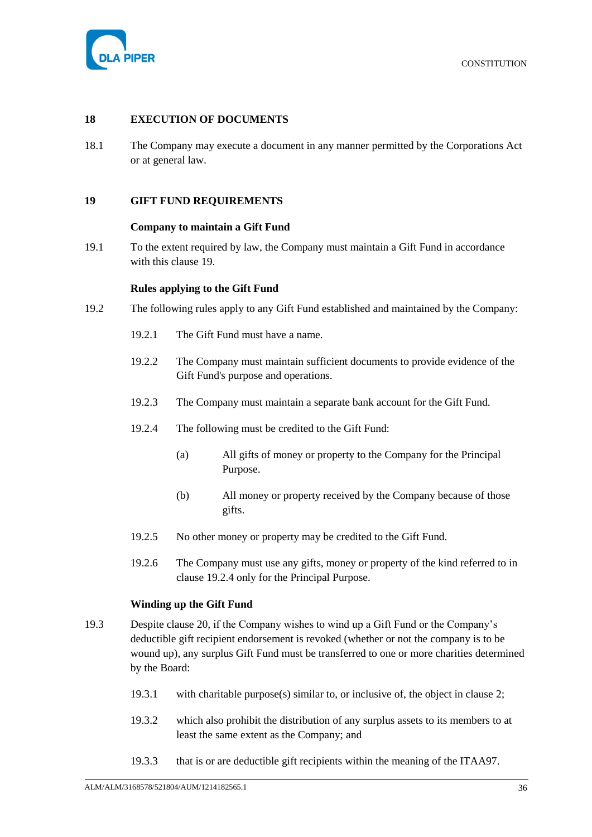

### <span id="page-40-0"></span>**18 EXECUTION OF DOCUMENTS**

18.1 The Company may execute a document in any manner permitted by the Corporations Act or at general law.

#### <span id="page-40-2"></span><span id="page-40-1"></span>**19 GIFT FUND REQUIREMENTS**

#### **Company to maintain a Gift Fund**

19.1 To the extent required by law, the Company must maintain a Gift Fund in accordance with this clause [19.](#page-40-1)

#### **Rules applying to the Gift Fund**

- <span id="page-40-5"></span><span id="page-40-3"></span>19.2 The following rules apply to any Gift Fund established and maintained by the Company:
	- 19.2.1 The Gift Fund must have a name.
	- 19.2.2 The Company must maintain sufficient documents to provide evidence of the Gift Fund's purpose and operations.
	- 19.2.3 The Company must maintain a separate bank account for the Gift Fund.
	- 19.2.4 The following must be credited to the Gift Fund:
		- (a) All gifts of money or property to the Company for the Principal Purpose.
		- (b) All money or property received by the Company because of those gifts.
	- 19.2.5 No other money or property may be credited to the Gift Fund.
	- 19.2.6 The Company must use any gifts, money or property of the kind referred to in clause [19.2.4](#page-40-5) only for the Principal Purpose.

#### **Winding up the Gift Fund**

- <span id="page-40-6"></span><span id="page-40-4"></span>19.3 Despite clause [20,](#page-41-1) if the Company wishes to wind up a Gift Fund or the Company's deductible gift recipient endorsement is revoked (whether or not the company is to be wound up), any surplus Gift Fund must be transferred to one or more charities determined by the Board:
	- 19.3.1 with charitable purpose(s) similar to, or inclusive of, the object in clause [2;](#page-5-3)
	- 19.3.2 which also prohibit the distribution of any surplus assets to its members to at least the same extent as the Company; and
	- 19.3.3 that is or are deductible gift recipients within the meaning of the ITAA97.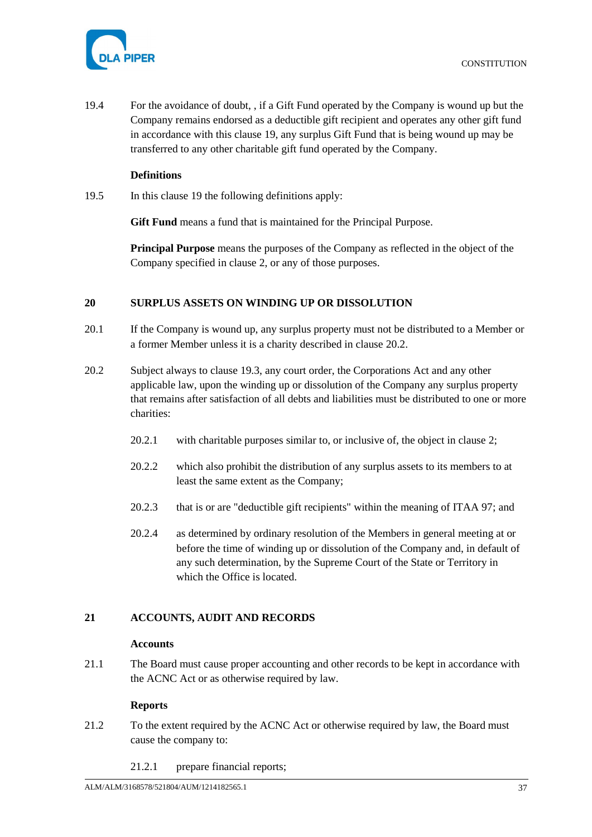

19.4 For the avoidance of doubt, , if a Gift Fund operated by the Company is wound up but the Company remains endorsed as a deductible gift recipient and operates any other gift fund in accordance with this clause [19,](#page-40-1) any surplus Gift Fund that is being wound up may be transferred to any other charitable gift fund operated by the Company.

### **Definitions**

<span id="page-41-0"></span>19.5 In this clause [19](#page-40-1) the following definitions apply:

**Gift Fund** means a fund that is maintained for the Principal Purpose.

**Principal Purpose** means the purposes of the Company as reflected in the object of the Company specified in clause [2,](#page-5-3) or any of those purposes.

# <span id="page-41-1"></span>**20 SURPLUS ASSETS ON WINDING UP OR DISSOLUTION**

- 20.1 If the Company is wound up, any surplus property must not be distributed to a Member or a former Member unless it is a charity described in clause [20.2.](#page-41-5)
- <span id="page-41-5"></span>20.2 Subject always to clause [19.3,](#page-40-6) any court order, the Corporations Act and any other applicable law, upon the winding up or dissolution of the Company any surplus property that remains after satisfaction of all debts and liabilities must be distributed to one or more charities:
	- 20.2.1 with charitable purposes similar to, or inclusive of, the object in clause [2;](#page-5-3)
	- 20.2.2 which also prohibit the distribution of any surplus assets to its members to at least the same extent as the Company;
	- 20.2.3 that is or are "deductible gift recipients" within the meaning of ITAA 97; and
	- 20.2.4 as determined by ordinary resolution of the Members in general meeting at or before the time of winding up or dissolution of the Company and, in default of any such determination, by the Supreme Court of the State or Territory in which the Office is located.

# <span id="page-41-3"></span><span id="page-41-2"></span>**21 ACCOUNTS, AUDIT AND RECORDS**

### **Accounts**

21.1 The Board must cause proper accounting and other records to be kept in accordance with the ACNC Act or as otherwise required by law.

### **Reports**

- <span id="page-41-4"></span>21.2 To the extent required by the ACNC Act or otherwise required by law, the Board must cause the company to:
	- 21.2.1 prepare financial reports;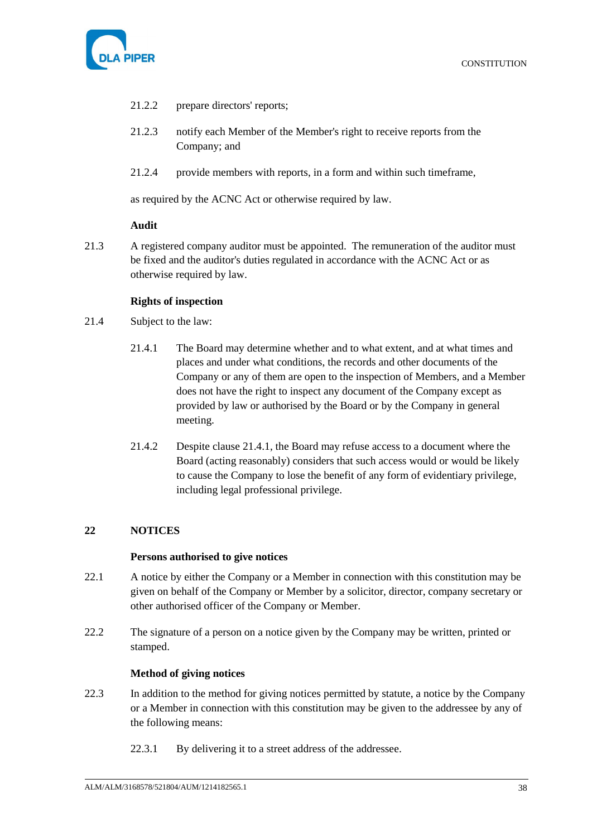

- 21.2.2 prepare directors' reports;
- 21.2.3 notify each Member of the Member's right to receive reports from the Company; and
- 21.2.4 provide members with reports, in a form and within such timeframe,

as required by the ACNC Act or otherwise required by law.

#### **Audit**

<span id="page-42-0"></span>21.3 A registered company auditor must be appointed. The remuneration of the auditor must be fixed and the auditor's duties regulated in accordance with the ACNC Act or as otherwise required by law.

#### **Rights of inspection**

- <span id="page-42-5"></span><span id="page-42-1"></span>21.4 Subject to the law:
	- 21.4.1 The Board may determine whether and to what extent, and at what times and places and under what conditions, the records and other documents of the Company or any of them are open to the inspection of Members, and a Member does not have the right to inspect any document of the Company except as provided by law or authorised by the Board or by the Company in general meeting.
	- 21.4.2 Despite clause [21.4.1,](#page-42-5) the Board may refuse access to a document where the Board (acting reasonably) considers that such access would or would be likely to cause the Company to lose the benefit of any form of evidentiary privilege, including legal professional privilege.

### <span id="page-42-3"></span><span id="page-42-2"></span>**22 NOTICES**

#### **Persons authorised to give notices**

- 22.1 A notice by either the Company or a Member in connection with this constitution may be given on behalf of the Company or Member by a solicitor, director, company secretary or other authorised officer of the Company or Member.
- 22.2 The signature of a person on a notice given by the Company may be written, printed or stamped.

# **Method of giving notices**

- <span id="page-42-4"></span>22.3 In addition to the method for giving notices permitted by statute, a notice by the Company or a Member in connection with this constitution may be given to the addressee by any of the following means:
	- 22.3.1 By delivering it to a street address of the addressee.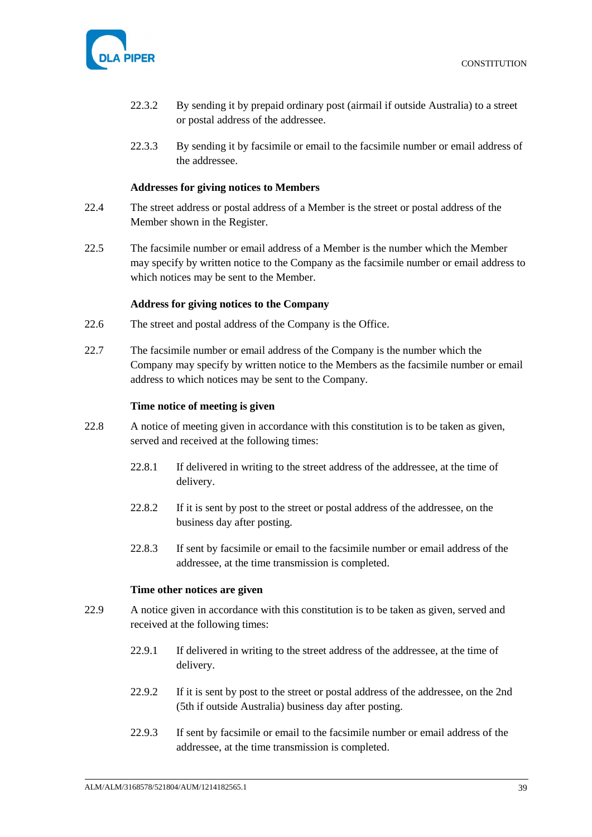

- 22.3.2 By sending it by prepaid ordinary post (airmail if outside Australia) to a street or postal address of the addressee.
- 22.3.3 By sending it by facsimile or email to the facsimile number or email address of the addressee.

#### **Addresses for giving notices to Members**

- <span id="page-43-0"></span>22.4 The street address or postal address of a Member is the street or postal address of the Member shown in the Register.
- 22.5 The facsimile number or email address of a Member is the number which the Member may specify by written notice to the Company as the facsimile number or email address to which notices may be sent to the Member.

#### **Address for giving notices to the Company**

- <span id="page-43-1"></span>22.6 The street and postal address of the Company is the Office.
- 22.7 The facsimile number or email address of the Company is the number which the Company may specify by written notice to the Members as the facsimile number or email address to which notices may be sent to the Company.

#### **Time notice of meeting is given**

- <span id="page-43-2"></span>22.8 A notice of meeting given in accordance with this constitution is to be taken as given, served and received at the following times:
	- 22.8.1 If delivered in writing to the street address of the addressee, at the time of delivery.
	- 22.8.2 If it is sent by post to the street or postal address of the addressee, on the business day after posting.
	- 22.8.3 If sent by facsimile or email to the facsimile number or email address of the addressee, at the time transmission is completed.

### **Time other notices are given**

- <span id="page-43-3"></span>22.9 A notice given in accordance with this constitution is to be taken as given, served and received at the following times:
	- 22.9.1 If delivered in writing to the street address of the addressee, at the time of delivery.
	- 22.9.2 If it is sent by post to the street or postal address of the addressee, on the 2nd (5th if outside Australia) business day after posting.
	- 22.9.3 If sent by facsimile or email to the facsimile number or email address of the addressee, at the time transmission is completed.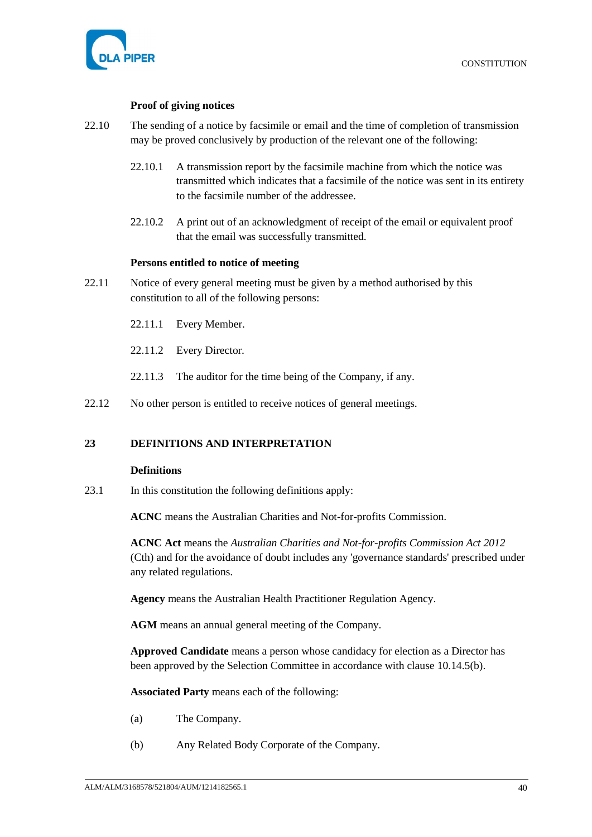

### **Proof of giving notices**

- <span id="page-44-0"></span>22.10 The sending of a notice by facsimile or email and the time of completion of transmission may be proved conclusively by production of the relevant one of the following:
	- 22.10.1 A transmission report by the facsimile machine from which the notice was transmitted which indicates that a facsimile of the notice was sent in its entirety to the facsimile number of the addressee.
	- 22.10.2 A print out of an acknowledgment of receipt of the email or equivalent proof that the email was successfully transmitted.

#### **Persons entitled to notice of meeting**

- <span id="page-44-1"></span>22.11 Notice of every general meeting must be given by a method authorised by this constitution to all of the following persons:
	- 22.11.1 Every Member.
	- 22.11.2 Every Director.
	- 22.11.3 The auditor for the time being of the Company, if any.
- <span id="page-44-2"></span>22.12 No other person is entitled to receive notices of general meetings.

#### <span id="page-44-3"></span>**23 DEFINITIONS AND INTERPRETATION**

#### **Definitions**

<span id="page-44-4"></span>23.1 In this constitution the following definitions apply:

**ACNC** means the Australian Charities and Not-for-profits Commission.

**ACNC Act** means the *Australian Charities and Not-for-profits Commission Act 2012* (Cth) and for the avoidance of doubt includes any 'governance standards' prescribed under any related regulations.

**Agency** means the Australian Health Practitioner Regulation Agency.

**AGM** means an annual general meeting of the Company.

**Approved Candidate** means a person whose candidacy for election as a Director has been approved by the Selection Committee in accordance with clause [10.14.5\(b\).](#page-28-3)

**Associated Party** means each of the following:

- (a) The Company.
- (b) Any Related Body Corporate of the Company.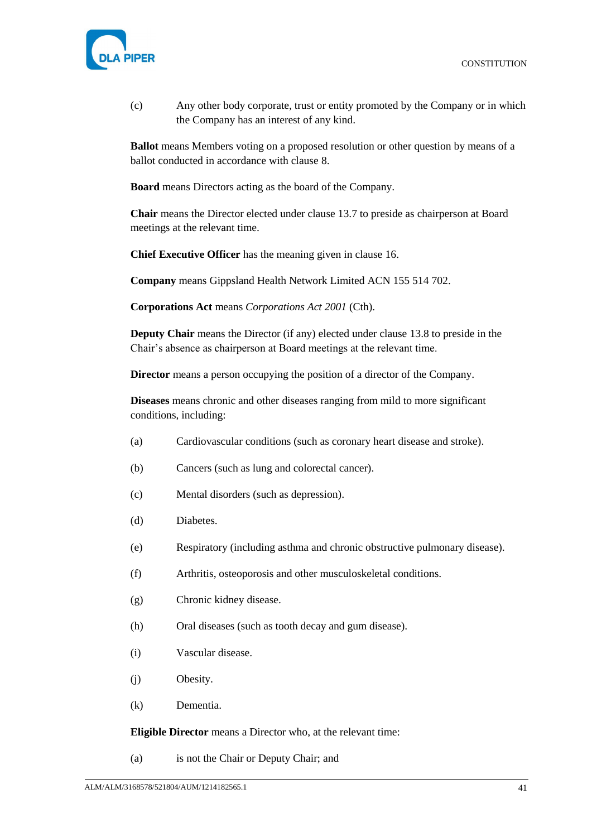

(c) Any other body corporate, trust or entity promoted by the Company or in which the Company has an interest of any kind.

**Ballot** means Members voting on a proposed resolution or other question by means of a ballot conducted in accordance with clause [8.](#page-18-1)

**Board** means Directors acting as the board of the Company.

**Chair** means the Director elected under clause [13.7](#page-32-4) to preside as chairperson at Board meetings at the relevant time.

**Chief Executive Officer** has the meaning given in clause [16.](#page-39-0)

**Company** means Gippsland Health Network Limited ACN 155 514 702.

**Corporations Act** means *Corporations Act 2001* (Cth).

**Deputy Chair** means the Director (if any) elected under clause [13.8](#page-32-5) to preside in the Chair's absence as chairperson at Board meetings at the relevant time.

**Director** means a person occupying the position of a director of the Company.

**Diseases** means chronic and other diseases ranging from mild to more significant conditions, including:

- (a) Cardiovascular conditions (such as coronary heart disease and stroke).
- (b) Cancers (such as lung and colorectal cancer).
- (c) Mental disorders (such as depression).
- (d) Diabetes.
- (e) Respiratory (including asthma and chronic obstructive pulmonary disease).
- (f) Arthritis, osteoporosis and other musculoskeletal conditions.
- (g) Chronic kidney disease.
- (h) Oral diseases (such as tooth decay and gum disease).
- (i) Vascular disease.
- (j) Obesity.
- (k) Dementia.

**Eligible Director** means a Director who, at the relevant time:

(a) is not the Chair or Deputy Chair; and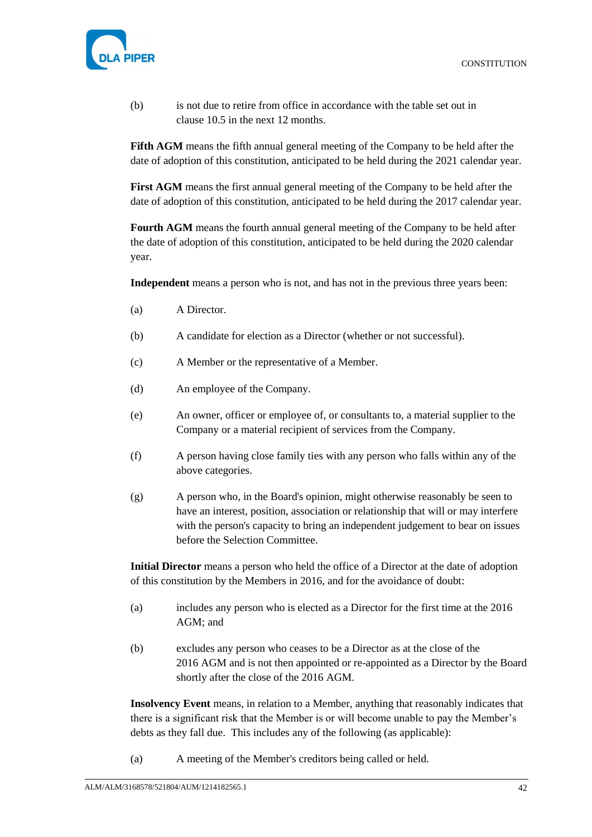

(b) is not due to retire from office in accordance with the table set out in clause [10.5](#page-24-1) in the next 12 months.

**Fifth AGM** means the fifth annual general meeting of the Company to be held after the date of adoption of this constitution, anticipated to be held during the 2021 calendar year.

**First AGM** means the first annual general meeting of the Company to be held after the date of adoption of this constitution, anticipated to be held during the 2017 calendar year.

**Fourth AGM** means the fourth annual general meeting of the Company to be held after the date of adoption of this constitution, anticipated to be held during the 2020 calendar year.

**Independent** means a person who is not, and has not in the previous three years been:

- (a) A Director.
- (b) A candidate for election as a Director (whether or not successful).
- (c) A Member or the representative of a Member.
- (d) An employee of the Company.
- (e) An owner, officer or employee of, or consultants to, a material supplier to the Company or a material recipient of services from the Company.
- (f) A person having close family ties with any person who falls within any of the above categories.
- (g) A person who, in the Board's opinion, might otherwise reasonably be seen to have an interest, position, association or relationship that will or may interfere with the person's capacity to bring an independent judgement to bear on issues before the Selection Committee.

**Initial Director** means a person who held the office of a Director at the date of adoption of this constitution by the Members in 2016, and for the avoidance of doubt:

- (a) includes any person who is elected as a Director for the first time at the 2016 AGM; and
- (b) excludes any person who ceases to be a Director as at the close of the 2016 AGM and is not then appointed or re-appointed as a Director by the Board shortly after the close of the 2016 AGM.

**Insolvency Event** means, in relation to a Member, anything that reasonably indicates that there is a significant risk that the Member is or will become unable to pay the Member's debts as they fall due. This includes any of the following (as applicable):

(a) A meeting of the Member's creditors being called or held.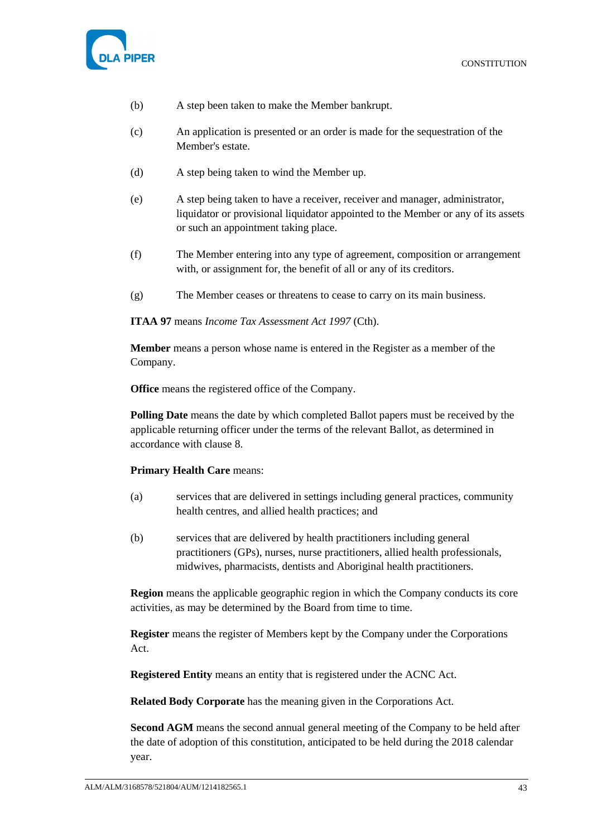

- (b) A step been taken to make the Member bankrupt.
- (c) An application is presented or an order is made for the sequestration of the Member's estate.
- (d) A step being taken to wind the Member up.
- (e) A step being taken to have a receiver, receiver and manager, administrator, liquidator or provisional liquidator appointed to the Member or any of its assets or such an appointment taking place.
- (f) The Member entering into any type of agreement, composition or arrangement with, or assignment for, the benefit of all or any of its creditors.
- (g) The Member ceases or threatens to cease to carry on its main business.

**ITAA 97** means *Income Tax Assessment Act 1997* (Cth).

**Member** means a person whose name is entered in the Register as a member of the Company.

**Office** means the registered office of the Company.

**Polling Date** means the date by which completed Ballot papers must be received by the applicable returning officer under the terms of the relevant Ballot, as determined in accordance with clause [8.](#page-18-1)

#### **Primary Health Care** means:

- (a) services that are delivered in settings including general practices, community health centres, and allied health practices; and
- (b) services that are delivered by health practitioners including general practitioners (GPs), nurses, nurse practitioners, allied health professionals, midwives, pharmacists, dentists and Aboriginal health practitioners.

**Region** means the applicable geographic region in which the Company conducts its core activities, as may be determined by the Board from time to time.

**Register** means the register of Members kept by the Company under the Corporations Act.

**Registered Entity** means an entity that is registered under the ACNC Act.

**Related Body Corporate** has the meaning given in the Corporations Act.

**Second AGM** means the second annual general meeting of the Company to be held after the date of adoption of this constitution, anticipated to be held during the 2018 calendar year.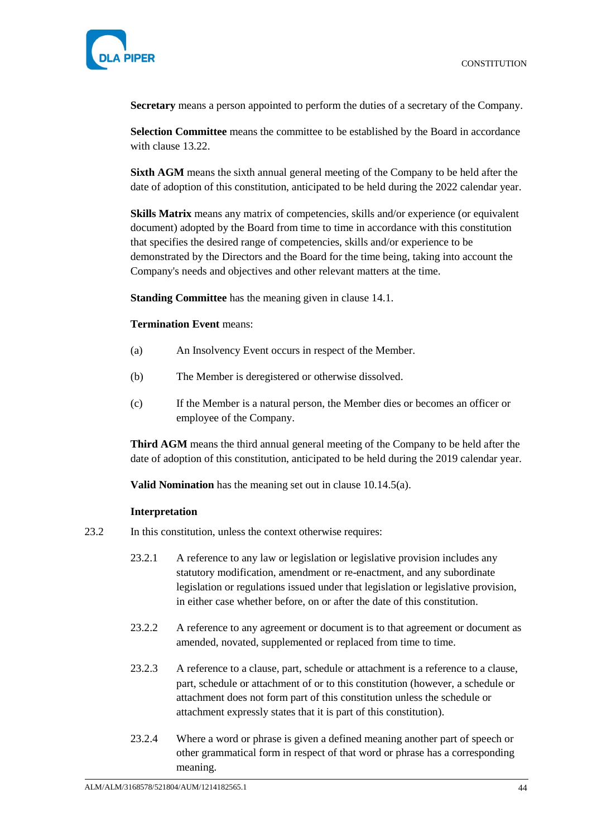

**Secretary** means a person appointed to perform the duties of a secretary of the Company.

**Selection Committee** means the committee to be established by the Board in accordance with clause [13.22.](#page-35-2)

**Sixth AGM** means the sixth annual general meeting of the Company to be held after the date of adoption of this constitution, anticipated to be held during the 2022 calendar year.

**Skills Matrix** means any matrix of competencies, skills and/or experience (or equivalent document) adopted by the Board from time to time in accordance with this constitution that specifies the desired range of competencies, skills and/or experience to be demonstrated by the Directors and the Board for the time being, taking into account the Company's needs and objectives and other relevant matters at the time.

**Standing Committee** has the meaning given in clause [14.1.](#page-37-5)

### **Termination Event** means:

- (a) An Insolvency Event occurs in respect of the Member.
- (b) The Member is deregistered or otherwise dissolved.
- (c) If the Member is a natural person, the Member dies or becomes an officer or employee of the Company.

**Third AGM** means the third annual general meeting of the Company to be held after the date of adoption of this constitution, anticipated to be held during the 2019 calendar year.

**Valid Nomination** has the meaning set out in clause [10.14.5\(a\).](#page-28-4)

#### **Interpretation**

- <span id="page-48-0"></span>23.2 In this constitution, unless the context otherwise requires:
	- 23.2.1 A reference to any law or legislation or legislative provision includes any statutory modification, amendment or re-enactment, and any subordinate legislation or regulations issued under that legislation or legislative provision, in either case whether before, on or after the date of this constitution.
	- 23.2.2 A reference to any agreement or document is to that agreement or document as amended, novated, supplemented or replaced from time to time.
	- 23.2.3 A reference to a clause, part, schedule or attachment is a reference to a clause, part, schedule or attachment of or to this constitution (however, a schedule or attachment does not form part of this constitution unless the schedule or attachment expressly states that it is part of this constitution).
	- 23.2.4 Where a word or phrase is given a defined meaning another part of speech or other grammatical form in respect of that word or phrase has a corresponding meaning.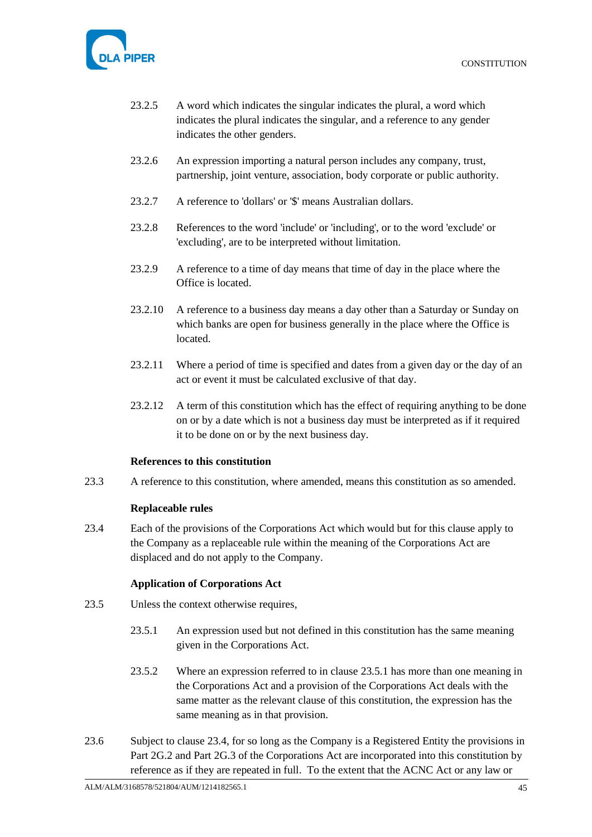

- 23.2.5 A word which indicates the singular indicates the plural, a word which indicates the plural indicates the singular, and a reference to any gender indicates the other genders.
- 23.2.6 An expression importing a natural person includes any company, trust, partnership, joint venture, association, body corporate or public authority.
- 23.2.7 A reference to 'dollars' or '\$' means Australian dollars.
- 23.2.8 References to the word 'include' or 'including', or to the word 'exclude' or 'excluding', are to be interpreted without limitation.
- 23.2.9 A reference to a time of day means that time of day in the place where the Office is located.
- 23.2.10 A reference to a business day means a day other than a Saturday or Sunday on which banks are open for business generally in the place where the Office is located.
- 23.2.11 Where a period of time is specified and dates from a given day or the day of an act or event it must be calculated exclusive of that day.
- 23.2.12 A term of this constitution which has the effect of requiring anything to be done on or by a date which is not a business day must be interpreted as if it required it to be done on or by the next business day.

### **References to this constitution**

<span id="page-49-1"></span><span id="page-49-0"></span>23.3 A reference to this constitution, where amended, means this constitution as so amended.

### **Replaceable rules**

<span id="page-49-4"></span>23.4 Each of the provisions of the Corporations Act which would but for this clause apply to the Company as a replaceable rule within the meaning of the Corporations Act are displaced and do not apply to the Company.

### **Application of Corporations Act**

- <span id="page-49-3"></span><span id="page-49-2"></span>23.5 Unless the context otherwise requires,
	- 23.5.1 An expression used but not defined in this constitution has the same meaning given in the Corporations Act.
	- 23.5.2 Where an expression referred to in clause [23.5.1](#page-49-3) has more than one meaning in the Corporations Act and a provision of the Corporations Act deals with the same matter as the relevant clause of this constitution, the expression has the same meaning as in that provision.
- 23.6 Subject to clause [23.4,](#page-49-4) for so long as the Company is a Registered Entity the provisions in Part 2G.2 and Part 2G.3 of the Corporations Act are incorporated into this constitution by reference as if they are repeated in full. To the extent that the ACNC Act or any law or